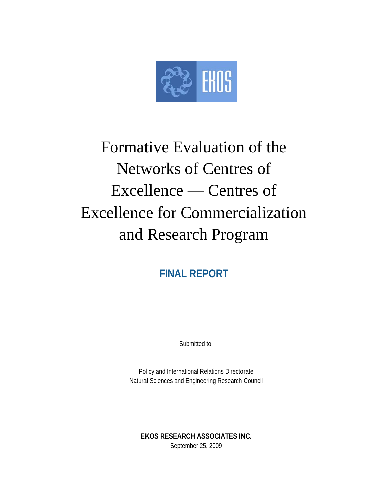

# Formative Evaluation of the Networks of Centres of Excellence — Centres of Excellence for Commercialization and Research Program

**FINAL REPORT** 

Submitted to:

Policy and International Relations Directorate Natural Sciences and Engineering Research Council

**EKOS RESEARCH ASSOCIATES INC.**  September 25, 2009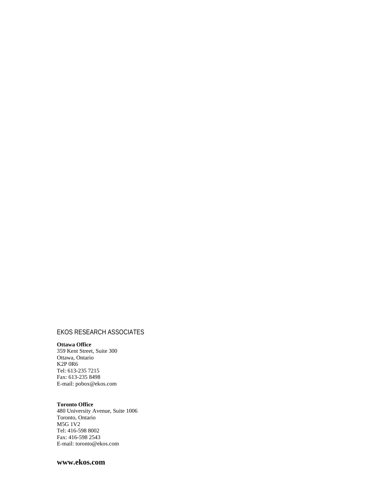#### EKOS RESEARCH ASSOCIATES

#### **Ottawa Office**

359 Kent Street, Suite 300 Ottawa, Ontario K2P 0R6 Tel: 613-235 7215 Fax: 613-235 8498 E-mail: pobox@ekos.com

#### **Toronto Office**

480 University Avenue, Suite 1006 Toronto, Ontario M5G 1V2 Tel: 416-598 8002 Fax: 416-598 2543 E-mail: toronto@ekos.com

#### **www.ekos.com**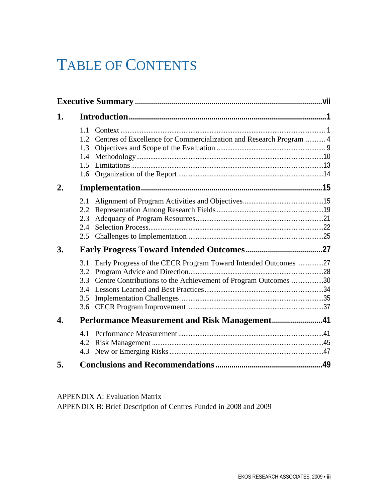## TABLE OF CONTENTS

| 1. |                                                                                                                                                                           |  |
|----|---------------------------------------------------------------------------------------------------------------------------------------------------------------------------|--|
|    | 1.1<br>1.2 Centres of Excellence for Commercialization and Research Program 4<br>1.3<br>1.4<br>1.5                                                                        |  |
| 2. |                                                                                                                                                                           |  |
|    | 2.1<br>2.2<br>2.3<br>2.4<br>2.5                                                                                                                                           |  |
| 3. |                                                                                                                                                                           |  |
|    | Early Progress of the CECR Program Toward Intended Outcomes 27<br>3.1<br>3.2<br>Centre Contributions to the Achievement of Program Outcomes30<br>3.3<br>3.4<br>3.5<br>3.6 |  |
| 4. |                                                                                                                                                                           |  |
|    | 4.2<br>4.3                                                                                                                                                                |  |
| 5. |                                                                                                                                                                           |  |

APPENDIX A: Evaluation Matrix APPENDIX B: Brief Description of Centres Funded in 2008 and 2009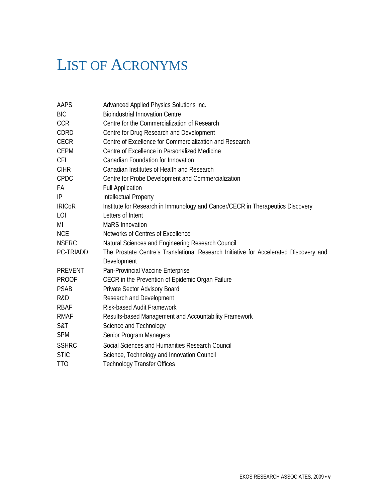## LIST OF ACRONYMS

| AAPS          | Advanced Applied Physics Solutions Inc.                                                              |
|---------------|------------------------------------------------------------------------------------------------------|
| BIC           | <b>Bioindustrial Innovation Centre</b>                                                               |
| <b>CCR</b>    | Centre for the Commercialization of Research                                                         |
| CDRD          | Centre for Drug Research and Development                                                             |
| <b>CECR</b>   | Centre of Excellence for Commercialization and Research                                              |
| <b>CEPM</b>   | Centre of Excellence in Personalized Medicine                                                        |
| <b>CFI</b>    | Canadian Foundation for Innovation                                                                   |
| <b>CIHR</b>   | Canadian Institutes of Health and Research                                                           |
| CPDC          | Centre for Probe Development and Commercialization                                                   |
| FА            | <b>Full Application</b>                                                                              |
| IP            | Intellectual Property                                                                                |
| <b>IRICoR</b> | Institute for Research in Immunology and Cancer/CECR in Therapeutics Discovery                       |
| LOI           | Letters of Intent                                                                                    |
| MI            | <b>MaRS</b> Innovation                                                                               |
| <b>NCE</b>    | Networks of Centres of Excellence                                                                    |
| <b>NSERC</b>  | Natural Sciences and Engineering Research Council                                                    |
| PC-TRIADD     | The Prostate Centre's Translational Research Initiative for Accelerated Discovery and<br>Development |
| PREVENT       | Pan-Provincial Vaccine Enterprise                                                                    |
| <b>PROOF</b>  | CECR in the Prevention of Epidemic Organ Failure                                                     |
| PSAB          | Private Sector Advisory Board                                                                        |
| R&D           | Research and Development                                                                             |
| RBAF          | <b>Risk-based Audit Framework</b>                                                                    |
| <b>RMAF</b>   | Results-based Management and Accountability Framework                                                |
| S&T           | Science and Technology                                                                               |
| <b>SPM</b>    | Senior Program Managers                                                                              |
| <b>SSHRC</b>  | Social Sciences and Humanities Research Council                                                      |
| <b>STIC</b>   | Science, Technology and Innovation Council                                                           |
| <b>TTO</b>    | <b>Technology Transfer Offices</b>                                                                   |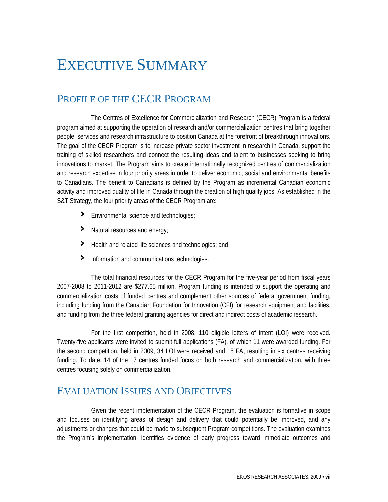## EXECUTIVE SUMMARY

### PROFILE OF THE CECR PROGRAM

 The Centres of Excellence for Commercialization and Research (CECR) Program is a federal program aimed at supporting the operation of research and/or commercialization centres that bring together people, services and research infrastructure to position Canada at the forefront of breakthrough innovations. The goal of the CECR Program is to increase private sector investment in research in Canada, support the training of skilled researchers and connect the resulting ideas and talent to businesses seeking to bring innovations to market. The Program aims to create internationally recognized centres of commercialization and research expertise in four priority areas in order to deliver economic, social and environmental benefits to Canadians. The benefit to Canadians is defined by the Program as incremental Canadian economic activity and improved quality of life in Canada through the creation of high quality jobs. As established in the S&T Strategy, the four priority areas of the CECR Program are:

- **›** Environmental science and technologies;
- **›** Natural resources and energy;
- **›** Health and related life sciences and technologies; and
- **›** Information and communications technologies.

 The total financial resources for the CECR Program for the five-year period from fiscal years 2007-2008 to 2011-2012 are \$277.65 million. Program funding is intended to support the operating and commercialization costs of funded centres and complement other sources of federal government funding, including funding from the Canadian Foundation for Innovation (CFI) for research equipment and facilities, and funding from the three federal granting agencies for direct and indirect costs of academic research.

 For the first competition, held in 2008, 110 eligible letters of intent (LOI) were received. Twenty-five applicants were invited to submit full applications (FA), of which 11 were awarded funding. For the second competition, held in 2009, 34 LOI were received and 15 FA, resulting in six centres receiving funding. To date, 14 of the 17 centres funded focus on both research and commercialization, with three centres focusing solely on commercialization.

#### EVALUATION ISSUES AND OBJECTIVES

 Given the recent implementation of the CECR Program, the evaluation is formative in scope and focuses on identifying areas of design and delivery that could potentially be improved, and any adjustments or changes that could be made to subsequent Program competitions. The evaluation examines the Program's implementation, identifies evidence of early progress toward immediate outcomes and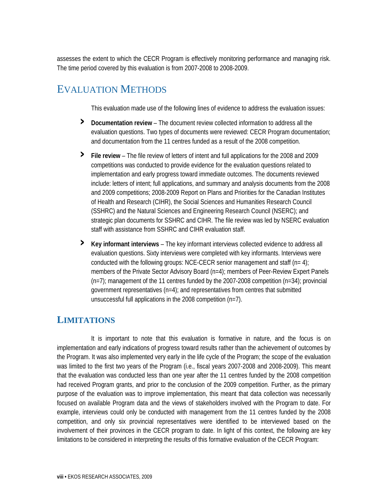assesses the extent to which the CECR Program is effectively monitoring performance and managing risk. The time period covered by this evaluation is from 2007-2008 to 2008-2009.

#### EVALUATION METHODS

This evaluation made use of the following lines of evidence to address the evaluation issues:

- **› Documentation review** The document review collected information to address all the evaluation questions. Two types of documents were reviewed: CECR Program documentation; and documentation from the 11 centres funded as a result of the 2008 competition.
- **› File review**  The file review of letters of intent and full applications for the 2008 and 2009 competitions was conducted to provide evidence for the evaluation questions related to implementation and early progress toward immediate outcomes. The documents reviewed include: letters of intent; full applications, and summary and analysis documents from the 2008 and 2009 competitions; 2008-2009 Report on Plans and Priorities for the Canadian Institutes of Health and Research (CIHR), the Social Sciences and Humanities Research Council (SSHRC) and the Natural Sciences and Engineering Research Council (NSERC); and strategic plan documents for SSHRC and CIHR. The file review was led by NSERC evaluation staff with assistance from SSHRC and CIHR evaluation staff.
- **› Key informant interviews**  The key informant interviews collected evidence to address all evaluation questions. Sixty interviews were completed with key informants. Interviews were conducted with the following groups: NCE-CECR senior management and staff  $(n= 4)$ ; members of the Private Sector Advisory Board (n=4); members of Peer-Review Expert Panels  $(n=7)$ ; management of the 11 centres funded by the 2007-2008 competition  $(n=34)$ ; provincial government representatives (n=4); and representatives from centres that submitted unsuccessful full applications in the 2008 competition (n=7).

#### **LIMITATIONS**

 It is important to note that this evaluation is formative in nature, and the focus is on implementation and early indications of progress toward results rather than the achievement of outcomes by the Program. It was also implemented very early in the life cycle of the Program; the scope of the evaluation was limited to the first two years of the Program (i.e., fiscal years 2007-2008 and 2008-2009). This meant that the evaluation was conducted less than one year after the 11 centres funded by the 2008 competition had received Program grants, and prior to the conclusion of the 2009 competition. Further, as the primary purpose of the evaluation was to improve implementation, this meant that data collection was necessarily focused on available Program data and the views of stakeholders involved with the Program to date. For example, interviews could only be conducted with management from the 11 centres funded by the 2008 competition, and only six provincial representatives were identified to be interviewed based on the involvement of their provinces in the CECR program to date. In light of this context, the following are key limitations to be considered in interpreting the results of this formative evaluation of the CECR Program: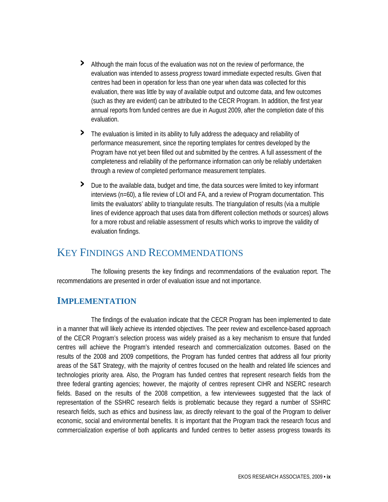- **›** Although the main focus of the evaluation was not on the review of performance, the evaluation was intended to assess *progress* toward immediate expected results. Given that centres had been in operation for less than one year when data was collected for this evaluation, there was little by way of available output and outcome data, and few outcomes (such as they are evident) can be attributed to the CECR Program. In addition, the first year annual reports from funded centres are due in August 2009, after the completion date of this evaluation.
- **›** The evaluation is limited in its ability to fully address the adequacy and reliability of performance measurement, since the reporting templates for centres developed by the Program have not yet been filled out and submitted by the centres. A full assessment of the completeness and reliability of the performance information can only be reliably undertaken through a review of completed performance measurement templates.
- **›** Due to the available data, budget and time, the data sources were limited to key informant interviews (n=60), a file review of LOI and FA, and a review of Program documentation. This limits the evaluators' ability to triangulate results. The triangulation of results (via a multiple lines of evidence approach that uses data from different collection methods or sources) allows for a more robust and reliable assessment of results which works to improve the validity of evaluation findings.

#### KEY FINDINGS AND RECOMMENDATIONS

 The following presents the key findings and recommendations of the evaluation report. The recommendations are presented in order of evaluation issue and not importance.

#### **IMPLEMENTATION**

 The findings of the evaluation indicate that the CECR Program has been implemented to date in a manner that will likely achieve its intended objectives. The peer review and excellence-based approach of the CECR Program's selection process was widely praised as a key mechanism to ensure that funded centres will achieve the Program's intended research and commercialization outcomes. Based on the results of the 2008 and 2009 competitions, the Program has funded centres that address all four priority areas of the S&T Strategy, with the majority of centres focused on the health and related life sciences and technologies priority area. Also, the Program has funded centres that represent research fields from the three federal granting agencies; however, the majority of centres represent CIHR and NSERC research fields. Based on the results of the 2008 competition, a few interviewees suggested that the lack of representation of the SSHRC research fields is problematic because they regard a number of SSHRC research fields, such as ethics and business law, as directly relevant to the goal of the Program to deliver economic, social and environmental benefits. It is important that the Program track the research focus and commercialization expertise of both applicants and funded centres to better assess progress towards its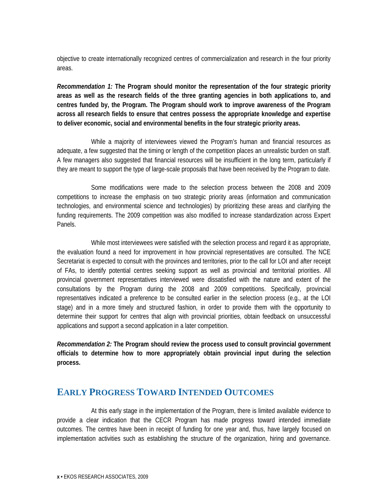objective to create internationally recognized centres of commercialization and research in the four priority areas.

*Recommendation 1:* **The Program should monitor the representation of the four strategic priority areas as well as the research fields of the three granting agencies in both applications to, and centres funded by, the Program. The Program should work to improve awareness of the Program across all research fields to ensure that centres possess the appropriate knowledge and expertise to deliver economic, social and environmental benefits in the four strategic priority areas.** 

 While a majority of interviewees viewed the Program's human and financial resources as adequate, a few suggested that the timing or length of the competition places an unrealistic burden on staff. A few managers also suggested that financial resources will be insufficient in the long term, particularly if they are meant to support the type of large-scale proposals that have been received by the Program to date.

 Some modifications were made to the selection process between the 2008 and 2009 competitions to increase the emphasis on two strategic priority areas (information and communication technologies, and environmental science and technologies) by prioritizing these areas and clarifying the funding requirements. The 2009 competition was also modified to increase standardization across Expert Panels.

 While most interviewees were satisfied with the selection process and regard it as appropriate, the evaluation found a need for improvement in how provincial representatives are consulted. The NCE Secretariat is expected to consult with the provinces and territories, prior to the call for LOI and after receipt of FAs, to identify potential centres seeking support as well as provincial and territorial priorities. All provincial government representatives interviewed were dissatisfied with the nature and extent of the consultations by the Program during the 2008 and 2009 competitions. Specifically, provincial representatives indicated a preference to be consulted earlier in the selection process (e.g., at the LOI stage) and in a more timely and structured fashion, in order to provide them with the opportunity to determine their support for centres that align with provincial priorities, obtain feedback on unsuccessful applications and support a second application in a later competition.

*Recommendation 2:* **The Program should review the process used to consult provincial government officials to determine how to more appropriately obtain provincial input during the selection process.** 

#### **EARLY PROGRESS TOWARD INTENDED OUTCOMES**

 At this early stage in the implementation of the Program, there is limited available evidence to provide a clear indication that the CECR Program has made progress toward intended immediate outcomes. The centres have been in receipt of funding for one year and, thus, have largely focused on implementation activities such as establishing the structure of the organization, hiring and governance.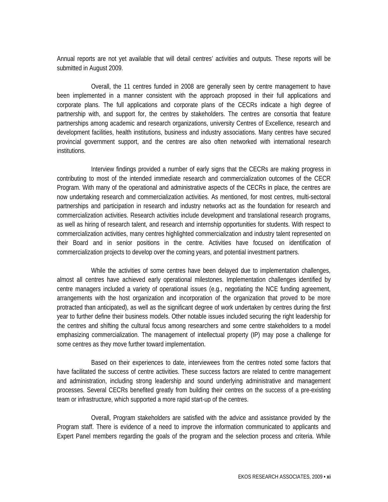Annual reports are not yet available that will detail centres' activities and outputs. These reports will be submitted in August 2009.

 Overall, the 11 centres funded in 2008 are generally seen by centre management to have been implemented in a manner consistent with the approach proposed in their full applications and corporate plans. The full applications and corporate plans of the CECRs indicate a high degree of partnership with, and support for, the centres by stakeholders. The centres are consortia that feature partnerships among academic and research organizations, university Centres of Excellence, research and development facilities, health institutions, business and industry associations. Many centres have secured provincial government support, and the centres are also often networked with international research institutions.

 Interview findings provided a number of early signs that the CECRs are making progress in contributing to most of the intended immediate research and commercialization outcomes of the CECR Program. With many of the operational and administrative aspects of the CECRs in place, the centres are now undertaking research and commercialization activities. As mentioned, for most centres, multi-sectoral partnerships and participation in research and industry networks act as the foundation for research and commercialization activities. Research activities include development and translational research programs, as well as hiring of research talent, and research and internship opportunities for students. With respect to commercialization activities, many centres highlighted commercialization and industry talent represented on their Board and in senior positions in the centre. Activities have focused on identification of commercialization projects to develop over the coming years, and potential investment partners.

 While the activities of some centres have been delayed due to implementation challenges, almost all centres have achieved early operational milestones. Implementation challenges identified by centre managers included a variety of operational issues (e.g., negotiating the NCE funding agreement, arrangements with the host organization and incorporation of the organization that proved to be more protracted than anticipated), as well as the significant degree of work undertaken by centres during the first year to further define their business models. Other notable issues included securing the right leadership for the centres and shifting the cultural focus among researchers and some centre stakeholders to a model emphasizing commercialization. The management of intellectual property (IP) may pose a challenge for some centres as they move further toward implementation.

 Based on their experiences to date, interviewees from the centres noted some factors that have facilitated the success of centre activities. These success factors are related to centre management and administration, including strong leadership and sound underlying administrative and management processes. Several CECRs benefited greatly from building their centres on the success of a pre-existing team or infrastructure, which supported a more rapid start-up of the centres.

 Overall, Program stakeholders are satisfied with the advice and assistance provided by the Program staff. There is evidence of a need to improve the information communicated to applicants and Expert Panel members regarding the goals of the program and the selection process and criteria. While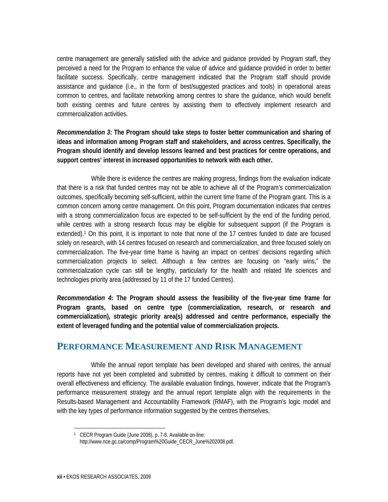centre management are generally satisfied with the advice and guidance provided by Program staff, they perceived a need for the Program to enhance the value of advice and guidance provided in order to better facilitate success. Specifically, centre management indicated that the Program staff should provide assistance and guidance (i.e., in the form of best/suggested practices and tools) in operational areas common to centres, and facilitate networking among centres to share the guidance, which would benefit both existing centres and future centres by assisting them to effectively implement research and commercialization activities.

*Recommendation 3***: The Program should take steps to foster better communication and sharing of ideas and information among Program staff and stakeholders, and across centres. Specifically, the Program should identify and develop lessons learned and best practices for centre operations, and support centres' interest in increased opportunities to network with each other.** 

 While there is evidence the centres are making progress, findings from the evaluation indicate that there is a risk that funded centres may not be able to achieve all of the Program's commercialization outcomes, specifically becoming self-sufficient, within the current time frame of the Program grant. This is a common concern among centre management. On this point, Program documentation indicates that centres with a strong commercialization focus are expected to be self-sufficient by the end of the funding period, while centres with a strong research focus may be eligible for subsequent support (if the Program is extended).<sup>1</sup> On this point, it is important to note that none of the 17 centres funded to date are focused solely on research, with 14 centres focused on research and commercialization, and three focused solely on commercialization. The five-year time frame is having an impact on centres' decisions regarding which commercialization projects to select. Although a few centres are focusing on "early wins," the commercialization cycle can still be lengthy, particularly for the health and related life sciences and technologies priority area (addressed by 11 of the 17 funded Centres).

*Recommendation 4***: The Program should assess the feasibility of the five-year time frame for Program grants, based on centre type (commercialization, research, or research and commercialization), strategic priority area(s) addressed and centre performance, especially the extent of leveraged funding and the potential value of commercialization projects.** 

#### **PERFORMANCE MEASUREMENT AND RISK MANAGEMENT**

 While the annual report template has been developed and shared with centres, the annual reports have not yet been completed and submitted by centres, making it difficult to comment on their overall effectiveness and efficiency. The available evaluation findings, however, indicate that the Program's performance measurement strategy and the annual report template align with the requirements in the Results-based Management and Accountability Framework (RMAF), with the Program's logic model and with the key types of performance information suggested by the centres themselves.

<sup>1</sup> CECR Program Guide (June 2008), p. 7-8. Available on-line: http://www.nce.gc.ca/comp/Program%20Guide\_CECR\_June%202008.pdf.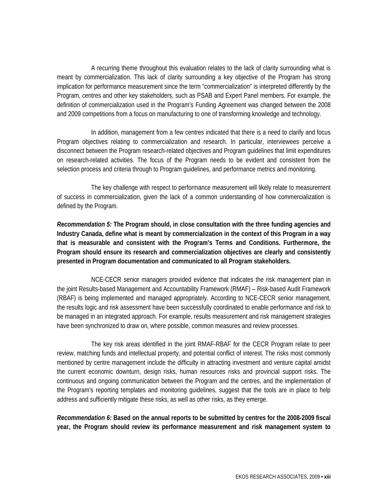A recurring theme throughout this evaluation relates to the lack of clarity surrounding what is meant by commercialization. This lack of clarity surrounding a key objective of the Program has strong implication for performance measurement since the term "commercialization" is interpreted differently by the Program, centres and other key stakeholders, such as PSAB and Expert Panel members. For example, the definition of commercialization used in the Program's Funding Agreement was changed between the 2008 and 2009 competitions from a focus on manufacturing to one of transforming knowledge and technology.

 In addition, management from a few centres indicated that there is a need to clarify and focus Program objectives relating to commercialization and research. In particular, interviewees perceive a disconnect between the Program research-related objectives and Program guidelines that limit expenditures on research-related activities. The focus of the Program needs to be evident and consistent from the selection process and criteria through to Program guidelines, and performance metrics and monitoring.

 The key challenge with respect to performance measurement will likely relate to measurement of success in commercialization, given the lack of a common understanding of how commercialization is defined by the Program.

*Recommendation 5:* **The Program should, in close consultation with the three funding agencies and Industry Canada, define what is meant by commercialization in the context of this Program in a way that is measurable and consistent with the Program's Terms and Conditions. Furthermore, the Program should ensure its research and commercialization objectives are clearly and consistently presented in Program documentation and communicated to all Program stakeholders.** 

 NCE-CECR senior managers provided evidence that indicates the risk management plan in the joint Results-based Management and Accountability Framework (RMAF) – Risk-based Audit Framework (RBAF) is being implemented and managed appropriately. According to NCE-CECR senior management, the results logic and risk assessment have been successfully coordinated to enable performance and risk to be managed in an integrated approach. For example, results measurement and risk management strategies have been synchronized to draw on, where possible, common measures and review processes.

 The key risk areas identified in the joint RMAF-RBAF for the CECR Program relate to peer review, matching funds and intellectual property, and potential conflict of interest. The risks most commonly mentioned by centre management include the difficulty in attracting investment and venture capital amidst the current economic downturn, design risks, human resources risks and provincial support risks. The continuous and ongoing communication between the Program and the centres, and the implementation of the Program's reporting templates and monitoring guidelines, suggest that the tools are in place to help address and sufficiently mitigate these risks, as well as other risks, as they emerge.

*Recommendation 6:* **Based on the annual reports to be submitted by centres for the 2008-2009 fiscal year, the Program should review its performance measurement and risk management system to**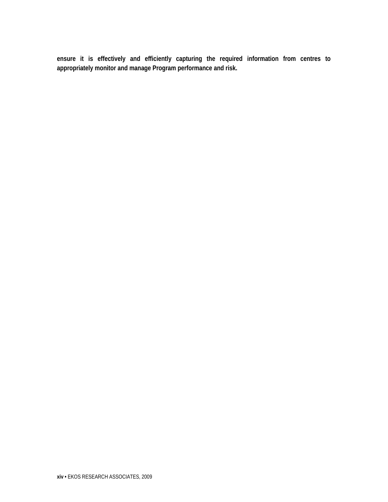**ensure it is effectively and efficiently capturing the required information from centres to appropriately monitor and manage Program performance and risk.**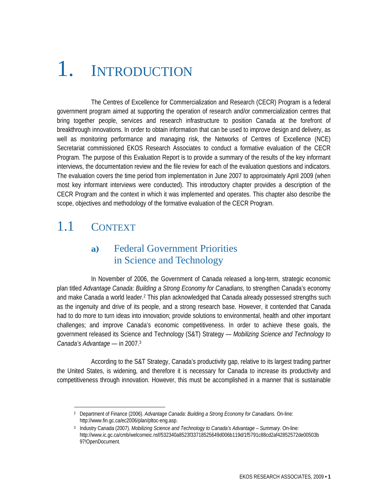# 1. INTRODUCTION

 The Centres of Excellence for Commercialization and Research (CECR) Program is a federal government program aimed at supporting the operation of research and/or commercialization centres that bring together people, services and research infrastructure to position Canada at the forefront of breakthrough innovations. In order to obtain information that can be used to improve design and delivery, as well as monitoring performance and managing risk, the Networks of Centres of Excellence (NCE) Secretariat commissioned EKOS Research Associates to conduct a formative evaluation of the CECR Program. The purpose of this Evaluation Report is to provide a summary of the results of the key informant interviews, the documentation review and the file review for each of the evaluation questions and indicators. The evaluation covers the time period from implementation in June 2007 to approximately April 2009 (when most key informant interviews were conducted). This introductory chapter provides a description of the CECR Program and the context in which it was implemented and operates. This chapter also describe the scope, objectives and methodology of the formative evaluation of the CECR Program.

## 1.1 CONTEXT

#### **a)** Federal Government Priorities in Science and Technology

 In November of 2006, the Government of Canada released a long-term, strategic economic plan titled *Advantage Canada*: *Building a Strong Economy for Canadians,* to strengthen Canada's economy and make Canada a world leader.2 This plan acknowledged that Canada already possessed strengths such as the ingenuity and drive of its people, and a strong research base. However, it contended that Canada had to do more to turn ideas into innovation; provide solutions to environmental, health and other important challenges; and improve Canada's economic competitiveness. In order to achieve these goals, the government released its Science and Technology (S&T) Strategy — *Mobilizing Science and Technology to Canada's Advantage* — in 2007.3

 According to the S&T Strategy, Canada's productivity gap, relative to its largest trading partner the United States, is widening, and therefore it is necessary for Canada to increase its productivity and competitiveness through innovation. However, this must be accomplished in a manner that is sustainable

<sup>2</sup> Department of Finance (2006). *Advantage Canada*: *Building a Strong Economy for Canadians.* On-line: http://www.fin.gc.ca/ec2006/plan/pltoc-eng.asp.

<sup>3</sup> Industry Canada (2007). *Mobilizing Science and Technology to Canada's Advantage – Summary*. On-line: http://www.ic.gc.ca/cmb/welcomeic.nsf/532340a8523f33718525649d006b119d/1f5791c88cd2af42852572de00503b 97!OpenDocument.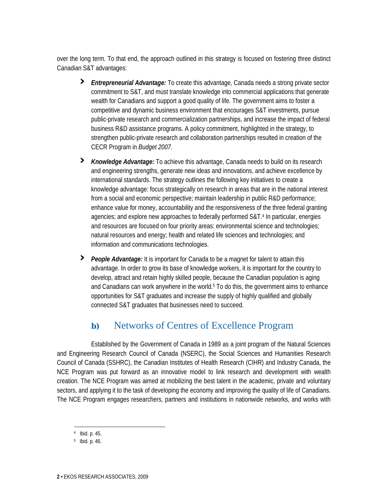over the long term. To that end, the approach outlined in this strategy is focused on fostering three distinct Canadian S&T advantages:

- **›** *Entrepreneurial Advantage:* To create this advantage, Canada needs a strong private sector commitment to S&T, and must translate knowledge into commercial applications that generate wealth for Canadians and support a good quality of life. The government aims to foster a competitive and dynamic business environment that encourages S&T investments, pursue public-private research and commercialization partnerships, and increase the impact of federal business R&D assistance programs. A policy commitment, highlighted in the strategy, to strengthen public-private research and collaboration partnerships resulted in creation of the CECR Program in *Budget 2007*.
- **›** *Knowledge Advantage:* To achieve this advantage, Canada needs to build on its research and engineering strengths, generate new ideas and innovations, and achieve excellence by international standards. The strategy outlines the following key initiatives to create a knowledge advantage: focus strategically on research in areas that are in the national interest from a social and economic perspective; maintain leadership in public R&D performance; enhance value for money, accountability and the responsiveness of the three federal granting agencies; and explore new approaches to federally performed S&T.4 In particular, energies and resources are focused on four priority areas: environmental science and technologies; natural resources and energy; health and related life sciences and technologies; and information and communications technologies.
- **›** *People Advantage:* It is important for Canada to be a magnet for talent to attain this advantage. In order to grow its base of knowledge workers, it is important for the country to develop, attract and retain highly skilled people, because the Canadian population is aging and Canadians can work anywhere in the world. $5$  To do this, the government aims to enhance opportunities for S&T graduates and increase the supply of highly qualified and globally connected S&T graduates that businesses need to succeed.

#### **b)** Networks of Centres of Excellence Program

 Established by the Government of Canada in 1989 as a joint program of the Natural Sciences and Engineering Research Council of Canada (NSERC), the Social Sciences and Humanities Research Council of Canada (SSHRC), the Canadian Institutes of Health Research (CIHR) and Industry Canada, the NCE Program was put forward as an innovative model to link research and development with wealth creation. The NCE Program was aimed at mobilizing the best talent in the academic, private and voluntary sectors, and applying it to the task of developing the economy and improving the quality of life of Canadians. The NCE Program engages researchers, partners and institutions in nationwide networks, and works with

<sup>4</sup> Ibid. p. 45.

<sup>5</sup> Ibid. p. 46.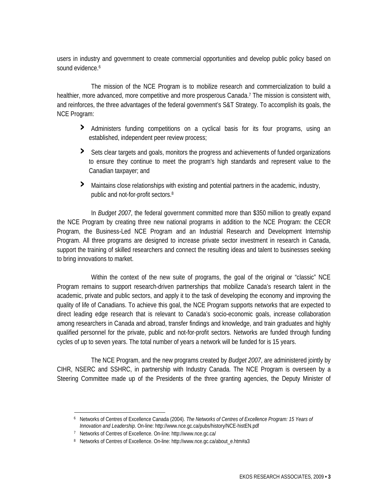users in industry and government to create commercial opportunities and develop public policy based on sound evidence.<sup>6</sup>

 The mission of the NCE Program is to mobilize research and commercialization to build a healthier, more advanced, more competitive and more prosperous Canada.<sup>7</sup> The mission is consistent with, and reinforces, the three advantages of the federal government's S&T Strategy. To accomplish its goals, the NCE Program:

- **›** Administers funding competitions on a cyclical basis for its four programs, using an established, independent peer review process;
- **›** Sets clear targets and goals, monitors the progress and achievements of funded organizations to ensure they continue to meet the program's high standards and represent value to the Canadian taxpayer; and
- **›** Maintains close relationships with existing and potential partners in the academic, industry, public and not-for-profit sectors.8

 In *Budget 2007*, the federal government committed more than \$350 million to greatly expand the NCE Program by creating three new national programs in addition to the NCE Program: the CECR Program, the Business-Led NCE Program and an Industrial Research and Development Internship Program. All three programs are designed to increase private sector investment in research in Canada, support the training of skilled researchers and connect the resulting ideas and talent to businesses seeking to bring innovations to market.

 Within the context of the new suite of programs, the goal of the original or "classic" NCE Program remains to support research-driven partnerships that mobilize Canada's research talent in the academic, private and public sectors, and apply it to the task of developing the economy and improving the quality of life of Canadians. To achieve this goal, the NCE Program supports networks that are expected to direct leading edge research that is relevant to Canada's socio-economic goals, increase collaboration among researchers in Canada and abroad, transfer findings and knowledge, and train graduates and highly qualified personnel for the private, public and not-for-profit sectors. Networks are funded through funding cycles of up to seven years. The total number of years a network will be funded for is 15 years.

 The NCE Program, and the new programs created by *Budget 2007*, are administered jointly by CIHR, NSERC and SSHRC, in partnership with Industry Canada. The NCE Program is overseen by a Steering Committee made up of the Presidents of the three granting agencies, the Deputy Minister of

<sup>6</sup> Networks of Centres of Excellence Canada (2004). *The Networks of Centres of Excellence Program: 15 Years of Innovation and Leadership*. On-line: http://www.nce.gc.ca/pubs/history/NCE-histEN.pdf

<sup>7</sup> Networks of Centres of Excellence. On-line: http://www.nce.gc.ca/

<sup>8</sup> Networks of Centres of Excellence. On-line: http://www.nce.gc.ca/about\_e.htm#a3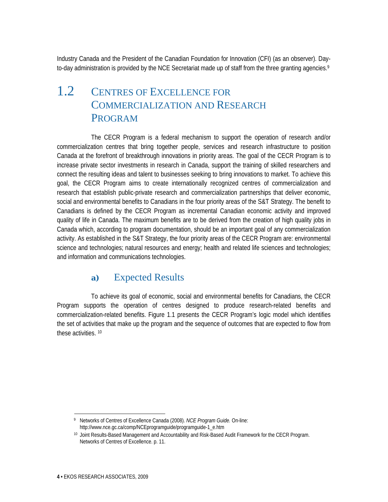Industry Canada and the President of the Canadian Foundation for Innovation (CFI) (as an observer). Dayto-day administration is provided by the NCE Secretariat made up of staff from the three granting agencies.<sup>9</sup>

## 1.2 CENTRES OF EXCELLENCE FOR COMMERCIALIZATION AND RESEARCH PROGRAM

 The CECR Program is a federal mechanism to support the operation of research and/or commercialization centres that bring together people, services and research infrastructure to position Canada at the forefront of breakthrough innovations in priority areas. The goal of the CECR Program is to increase private sector investments in research in Canada, support the training of skilled researchers and connect the resulting ideas and talent to businesses seeking to bring innovations to market. To achieve this goal, the CECR Program aims to create internationally recognized centres of commercialization and research that establish public-private research and commercialization partnerships that deliver economic, social and environmental benefits to Canadians in the four priority areas of the S&T Strategy. The benefit to Canadians is defined by the CECR Program as incremental Canadian economic activity and improved quality of life in Canada. The maximum benefits are to be derived from the creation of high quality jobs in Canada which, according to program documentation, should be an important goal of any commercialization activity. As established in the S&T Strategy, the four priority areas of the CECR Program are: environmental science and technologies; natural resources and energy; health and related life sciences and technologies; and information and communications technologies.

#### **a)** Expected Results

 To achieve its goal of economic, social and environmental benefits for Canadians, the CECR Program supports the operation of centres designed to produce research-related benefits and commercialization-related benefits. Figure 1.1 presents the CECR Program's logic model which identifies the set of activities that make up the program and the sequence of outcomes that are expected to flow from these activities. 10

<sup>9</sup> Networks of Centres of Excellence Canada (2008). *NCE Program Guide.* On-line: http://www.nce.gc.ca/comp/NCEprogramguide/programguide-1\_e.htm

<sup>10</sup> Joint Results-Based Management and Accountability and Risk-Based Audit Framework for the CECR Program. Networks of Centres of Excellence. p. 11.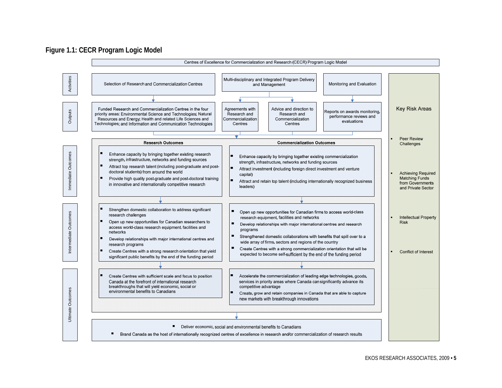#### **Figure 1.1: CECR Program Logic Model**

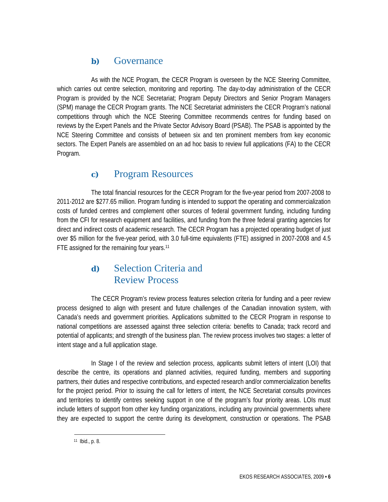#### **b)** Governance

 As with the NCE Program, the CECR Program is overseen by the NCE Steering Committee, which carries out centre selection, monitoring and reporting. The day-to-day administration of the CECR Program is provided by the NCE Secretariat; Program Deputy Directors and Senior Program Managers (SPM) manage the CECR Program grants. The NCE Secretariat administers the CECR Program's national competitions through which the NCE Steering Committee recommends centres for funding based on reviews by the Expert Panels and the Private Sector Advisory Board (PSAB). The PSAB is appointed by the NCE Steering Committee and consists of between six and ten prominent members from key economic sectors. The Expert Panels are assembled on an ad hoc basis to review full applications (FA) to the CECR Program.

#### **c)** Program Resources

 The total financial resources for the CECR Program for the five-year period from 2007-2008 to 2011-2012 are \$277.65 million. Program funding is intended to support the operating and commercialization costs of funded centres and complement other sources of federal government funding, including funding from the CFI for research equipment and facilities, and funding from the three federal granting agencies for direct and indirect costs of academic research. The CECR Program has a projected operating budget of just over \$5 million for the five-year period, with 3.0 full-time equivalents (FTE) assigned in 2007-2008 and 4.5 FTE assigned for the remaining four years.<sup>11</sup>

#### **d)** Selection Criteria and Review Process

 The CECR Program's review process features selection criteria for funding and a peer review process designed to align with present and future challenges of the Canadian innovation system, with Canada's needs and government priorities. Applications submitted to the CECR Program in response to national competitions are assessed against three selection criteria: benefits to Canada; track record and potential of applicants; and strength of the business plan. The review process involves two stages: a letter of intent stage and a full application stage.

 In Stage I of the review and selection process, applicants submit letters of intent (LOI) that describe the centre, its operations and planned activities, required funding, members and supporting partners, their duties and respective contributions, and expected research and/or commercialization benefits for the project period. Prior to issuing the call for letters of intent, the NCE Secretariat consults provinces and territories to identify centres seeking support in one of the program's four priority areas. LOIs must include letters of support from other key funding organizations, including any provincial governments where they are expected to support the centre during its development, construction or operations. The PSAB

<sup>11</sup> Ibid., p. 8.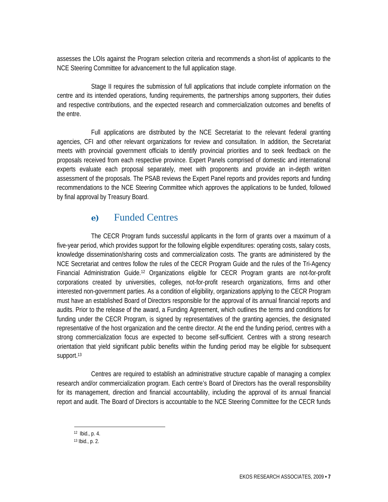assesses the LOIs against the Program selection criteria and recommends a short-list of applicants to the NCE Steering Committee for advancement to the full application stage.

 Stage II requires the submission of full applications that include complete information on the centre and its intended operations, funding requirements, the partnerships among supporters, their duties and respective contributions, and the expected research and commercialization outcomes and benefits of the entre.

 Full applications are distributed by the NCE Secretariat to the relevant federal granting agencies, CFI and other relevant organizations for review and consultation. In addition, the Secretariat meets with provincial government officials to identify provincial priorities and to seek feedback on the proposals received from each respective province. Expert Panels comprised of domestic and international experts evaluate each proposal separately, meet with proponents and provide an in-depth written assessment of the proposals. The PSAB reviews the Expert Panel reports and provides reports and funding recommendations to the NCE Steering Committee which approves the applications to be funded, followed by final approval by Treasury Board.

#### **e)** Funded Centres

 The CECR Program funds successful applicants in the form of grants over a maximum of a five-year period, which provides support for the following eligible expenditures: operating costs, salary costs, knowledge dissemination/sharing costs and commercialization costs. The grants are administered by the NCE Secretariat and centres follow the rules of the CECR Program Guide and the rules of the Tri-Agency Financial Administration Guide.12 Organizations eligible for CECR Program grants are not-for-profit corporations created by universities, colleges, not-for-profit research organizations, firms and other interested non-government parties. As a condition of eligibility, organizations applying to the CECR Program must have an established Board of Directors responsible for the approval of its annual financial reports and audits. Prior to the release of the award, a Funding Agreement, which outlines the terms and conditions for funding under the CECR Program, is signed by representatives of the granting agencies, the designated representative of the host organization and the centre director. At the end the funding period, centres with a strong commercialization focus are expected to become self-sufficient. Centres with a strong research orientation that yield significant public benefits within the funding period may be eligible for subsequent support.<sup>13</sup>

 Centres are required to establish an administrative structure capable of managing a complex research and/or commercialization program. Each centre's Board of Directors has the overall responsibility for its management, direction and financial accountability, including the approval of its annual financial report and audit. The Board of Directors is accountable to the NCE Steering Committee for the CECR funds

 $12$  Ibid., p. 4.

<sup>13</sup> Ibid., p. 2.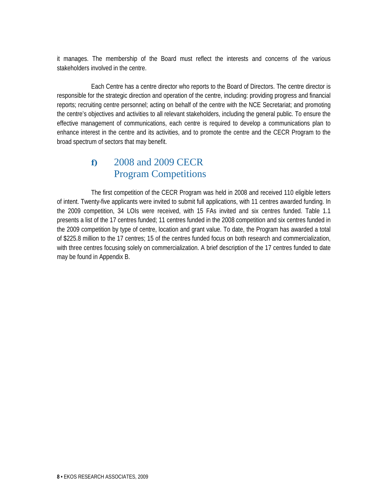it manages. The membership of the Board must reflect the interests and concerns of the various stakeholders involved in the centre.

 Each Centre has a centre director who reports to the Board of Directors. The centre director is responsible for the strategic direction and operation of the centre, including: providing progress and financial reports; recruiting centre personnel; acting on behalf of the centre with the NCE Secretariat; and promoting the centre's objectives and activities to all relevant stakeholders, including the general public. To ensure the effective management of communications, each centre is required to develop a communications plan to enhance interest in the centre and its activities, and to promote the centre and the CECR Program to the broad spectrum of sectors that may benefit.

#### **f)** 2008 and 2009 CECR Program Competitions

 The first competition of the CECR Program was held in 2008 and received 110 eligible letters of intent. Twenty-five applicants were invited to submit full applications, with 11 centres awarded funding. In the 2009 competition, 34 LOIs were received, with 15 FAs invited and six centres funded. Table 1.1 presents a list of the 17 centres funded; 11 centres funded in the 2008 competition and six centres funded in the 2009 competition by type of centre, location and grant value. To date, the Program has awarded a total of \$225.8 million to the 17 centres; 15 of the centres funded focus on both research and commercialization, with three centres focusing solely on commercialization. A brief description of the 17 centres funded to date may be found in Appendix B.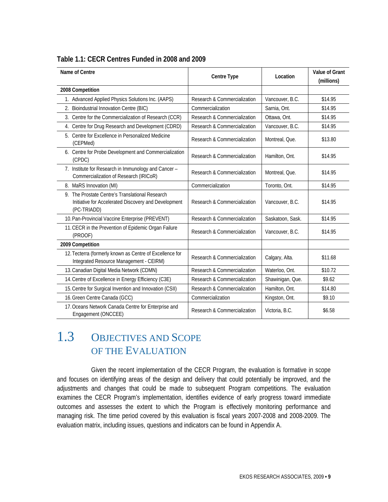| Name of Centre                                                                                                         | Centre Type                  | Location         | <b>Value of Grant</b><br>(millions) |
|------------------------------------------------------------------------------------------------------------------------|------------------------------|------------------|-------------------------------------|
| 2008 Competition                                                                                                       |                              |                  |                                     |
| 1. Advanced Applied Physics Solutions Inc. (AAPS)                                                                      | Research & Commercialization | Vancouver, B.C.  | \$14.95                             |
| 2. Bioindustrial Innovation Centre (BIC)                                                                               | Commercialization            | Sarnia, Ont.     | \$14.95                             |
| 3. Centre for the Commercialization of Research (CCR)                                                                  | Research & Commercialization | Ottawa, Ont.     | \$14.95                             |
| 4. Centre for Drug Research and Development (CDRD)                                                                     | Research & Commercialization | Vancouver, B.C.  | \$14.95                             |
| 5. Centre for Excellence in Personalized Medicine<br>(CEPMed)                                                          | Research & Commercialization | Montreal, Que.   | \$13.80                             |
| 6. Centre for Probe Development and Commercialization<br>(CPDC)                                                        | Research & Commercialization | Hamilton, Ont.   | \$14.95                             |
| 7. Institute for Research in Immunology and Cancer -<br>Commercialization of Research (IRICoR)                         | Research & Commercialization | Montreal, Que.   | \$14.95                             |
| 8. MaRS Innovation (MI)                                                                                                | Commercialization            | Toronto, Ont.    | \$14.95                             |
| 9. The Prostate Centre's Translational Research<br>Initiative for Accelerated Discovery and Development<br>(PC-TRIADD) | Research & Commercialization | Vancouver, B.C.  | \$14.95                             |
| 10. Pan-Provincial Vaccine Enterprise (PREVENT)                                                                        | Research & Commercialization | Saskatoon, Sask. | \$14.95                             |
| 11. CECR in the Prevention of Epidemic Organ Failure<br>(PROOF)                                                        | Research & Commercialization | Vancouver, B.C.  | \$14.95                             |
| 2009 Competition                                                                                                       |                              |                  |                                     |
| 12. Tecterra (formerly known as Centre of Excellence for<br>Integrated Resource Management - CEIRM)                    | Research & Commercialization | Calgary, Alta.   | \$11.68                             |
| 13. Canadian Digital Media Network (CDMN)                                                                              | Research & Commercialization | Waterloo, Ont.   | \$10.72                             |
| 14. Centre of Excellence in Energy Efficiency (C3E)                                                                    | Research & Commercialization | Shawinigan, Que. | \$9.62                              |
| 15. Centre for Surgical Invention and Innovation (CSII)                                                                | Research & Commercialization | Hamilton, Ont.   | \$14.80                             |
| 16. Green Centre Canada (GCC)                                                                                          | Commercialization            | Kingston, Ont.   | \$9.10                              |
| 17. Oceans Network Canada Centre for Enterprise and<br>Engagement (ONCCEE)                                             | Research & Commercialization | Victoria, B.C.   | \$6.58                              |

#### **Table 1.1: CECR Centres Funded in 2008 and 2009**

## 1.3 OBJECTIVES AND SCOPE OF THE EVALUATION

 Given the recent implementation of the CECR Program, the evaluation is formative in scope and focuses on identifying areas of the design and delivery that could potentially be improved, and the adjustments and changes that could be made to subsequent Program competitions. The evaluation examines the CECR Program's implementation, identifies evidence of early progress toward immediate outcomes and assesses the extent to which the Program is effectively monitoring performance and managing risk. The time period covered by this evaluation is fiscal years 2007-2008 and 2008-2009. The evaluation matrix, including issues, questions and indicators can be found in Appendix A.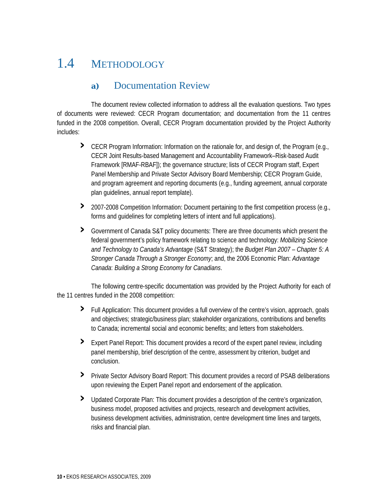## 1.4 METHODOLOGY

#### **a)** Documentation Review

 The document review collected information to address all the evaluation questions. Two types of documents were reviewed: CECR Program documentation; and documentation from the 11 centres funded in the 2008 competition. Overall, CECR Program documentation provided by the Project Authority includes:

- **›** CECR Program Information: Information on the rationale for, and design of, the Program (e.g., CECR Joint Results-based Management and Accountability Framework–Risk-based Audit Framework [RMAF-RBAF]); the governance structure; lists of CECR Program staff, Expert Panel Membership and Private Sector Advisory Board Membership; CECR Program Guide, and program agreement and reporting documents (e.g., funding agreement, annual corporate plan guidelines, annual report template).
- **›** 2007-2008 Competition Information: Document pertaining to the first competition process (e.g., forms and guidelines for completing letters of intent and full applications).
- **›** Government of Canada S&T policy documents: There are three documents which present the federal government's policy framework relating to science and technology: *Mobilizing Science and Technology to Canada's Advantage* (S&T Strategy); the *Budget Plan 2007 – Chapter 5: A Stronger Canada Through a Stronger Economy*; and, the 2006 Economic Plan: *Advantage Canada*: *Building a Strong Economy for Canadians*.

 The following centre-specific documentation was provided by the Project Authority for each of the 11 centres funded in the 2008 competition:

- **›** Full Application: This document provides a full overview of the centre's vision, approach, goals and objectives; strategic/business plan; stakeholder organizations, contributions and benefits to Canada; incremental social and economic benefits; and letters from stakeholders.
- **›** Expert Panel Report: This document provides a record of the expert panel review, including panel membership, brief description of the centre, assessment by criterion, budget and conclusion.
- **>** Private Sector Advisory Board Report: This document provides a record of PSAB deliberations upon reviewing the Expert Panel report and endorsement of the application.
- **›** Updated Corporate Plan: This document provides a description of the centre's organization, business model, proposed activities and projects, research and development activities, business development activities, administration, centre development time lines and targets, risks and financial plan.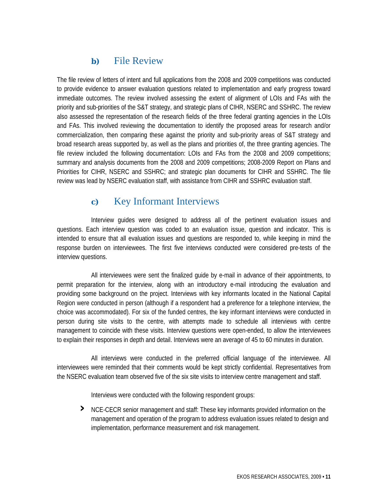#### **b)** File Review

The file review of letters of intent and full applications from the 2008 and 2009 competitions was conducted to provide evidence to answer evaluation questions related to implementation and early progress toward immediate outcomes. The review involved assessing the extent of alignment of LOIs and FAs with the priority and sub-priorities of the S&T strategy, and strategic plans of CIHR, NSERC and SSHRC. The review also assessed the representation of the research fields of the three federal granting agencies in the LOIs and FAs. This involved reviewing the documentation to identify the proposed areas for research and/or commercialization, then comparing these against the priority and sub-priority areas of S&T strategy and broad research areas supported by, as well as the plans and priorities of, the three granting agencies. The file review included the following documentation: LOIs and FAs from the 2008 and 2009 competitions; summary and analysis documents from the 2008 and 2009 competitions; 2008-2009 Report on Plans and Priorities for CIHR, NSERC and SSHRC; and strategic plan documents for CIHR and SSHRC. The file review was lead by NSERC evaluation staff, with assistance from CIHR and SSHRC evaluation staff.

#### **c)** Key Informant Interviews

 Interview guides were designed to address all of the pertinent evaluation issues and questions. Each interview question was coded to an evaluation issue, question and indicator. This is intended to ensure that all evaluation issues and questions are responded to, while keeping in mind the response burden on interviewees. The first five interviews conducted were considered pre-tests of the interview questions.

 All interviewees were sent the finalized guide by e-mail in advance of their appointments, to permit preparation for the interview, along with an introductory e-mail introducing the evaluation and providing some background on the project. Interviews with key informants located in the National Capital Region were conducted in person (although if a respondent had a preference for a telephone interview, the choice was accommodated). For six of the funded centres, the key informant interviews were conducted in person during site visits to the centre, with attempts made to schedule all interviews with centre management to coincide with these visits. Interview questions were open-ended, to allow the interviewees to explain their responses in depth and detail. Interviews were an average of 45 to 60 minutes in duration.

 All interviews were conducted in the preferred official language of the interviewee. All interviewees were reminded that their comments would be kept strictly confidential. Representatives from the NSERC evaluation team observed five of the six site visits to interview centre management and staff.

Interviews were conducted with the following respondent groups:

**›** NCE-CECR senior management and staff: These key informants provided information on the management and operation of the program to address evaluation issues related to design and implementation, performance measurement and risk management.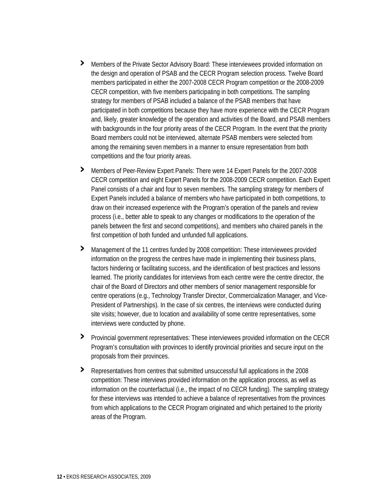- **›** Members of the Private Sector Advisory Board: These interviewees provided information on the design and operation of PSAB and the CECR Program selection process. Twelve Board members participated in either the 2007-2008 CECR Program competition or the 2008-2009 CECR competition, with five members participating in both competitions. The sampling strategy for members of PSAB included a balance of the PSAB members that have participated in both competitions because they have more experience with the CECR Program and, likely, greater knowledge of the operation and activities of the Board, and PSAB members with backgrounds in the four priority areas of the CECR Program. In the event that the priority Board members could not be interviewed, alternate PSAB members were selected from among the remaining seven members in a manner to ensure representation from both competitions and the four priority areas.
- **›** Members of Peer-Review Expert Panels: There were 14 Expert Panels for the 2007-2008 CECR competition and eight Expert Panels for the 2008-2009 CECR competition. Each Expert Panel consists of a chair and four to seven members. The sampling strategy for members of Expert Panels included a balance of members who have participated in both competitions, to draw on their increased experience with the Program's operation of the panels and review process (i.e., better able to speak to any changes or modifications to the operation of the panels between the first and second competitions), and members who chaired panels in the first competition of both funded and unfunded full applications.
- **›** Management of the 11 centres funded by 2008 competition: These interviewees provided information on the progress the centres have made in implementing their business plans, factors hindering or facilitating success, and the identification of best practices and lessons learned. The priority candidates for interviews from each centre were the centre director, the chair of the Board of Directors and other members of senior management responsible for centre operations (e.g., Technology Transfer Director, Commercialization Manager, and Vice-President of Partnerships). In the case of six centres, the interviews were conducted during site visits; however, due to location and availability of some centre representatives, some interviews were conducted by phone.
- **›** Provincial government representatives: These interviewees provided information on the CECR Program's consultation with provinces to identify provincial priorities and secure input on the proposals from their provinces.
- **›** Representatives from centres that submitted unsuccessful full applications in the 2008 competition: These interviews provided information on the application process, as well as information on the counterfactual (i.e., the impact of no CECR funding). The sampling strategy for these interviews was intended to achieve a balance of representatives from the provinces from which applications to the CECR Program originated and which pertained to the priority areas of the Program.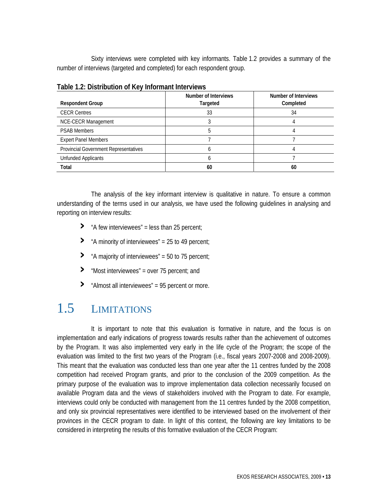Sixty interviews were completed with key informants. Table 1.2 provides a summary of the number of interviews (targeted and completed) for each respondent group.

| <b>Respondent Group</b>                      | Number of Interviews<br>Targeted | Number of Interviews<br>Completed |  |  |
|----------------------------------------------|----------------------------------|-----------------------------------|--|--|
| <b>CECR Centres</b>                          | 33                               | 34                                |  |  |
| NCE-CECR Management                          |                                  |                                   |  |  |
| <b>PSAB Members</b>                          |                                  |                                   |  |  |
| <b>Expert Panel Members</b>                  |                                  |                                   |  |  |
| <b>Provincial Government Representatives</b> |                                  |                                   |  |  |
| Unfunded Applicants                          |                                  |                                   |  |  |
| Total                                        | 60                               | 60                                |  |  |

**Table 1.2: Distribution of Key Informant Interviews** 

 The analysis of the key informant interview is qualitative in nature. To ensure a common understanding of the terms used in our analysis, we have used the following guidelines in analysing and reporting on interview results:

- **›** "A few interviewees" = less than 25 percent;
- **›** "A minority of interviewees" = 25 to 49 percent;
- **›** "A majority of interviewees" = 50 to 75 percent;
- **›** "Most interviewees" = over 75 percent; and
- **›** "Almost all interviewees" = 95 percent or more.

## 1.5 LIMITATIONS

 It is important to note that this evaluation is formative in nature, and the focus is on implementation and early indications of progress towards results rather than the achievement of outcomes by the Program. It was also implemented very early in the life cycle of the Program; the scope of the evaluation was limited to the first two years of the Program (i.e., fiscal years 2007-2008 and 2008-2009). This meant that the evaluation was conducted less than one year after the 11 centres funded by the 2008 competition had received Program grants, and prior to the conclusion of the 2009 competition. As the primary purpose of the evaluation was to improve implementation data collection necessarily focused on available Program data and the views of stakeholders involved with the Program to date. For example, interviews could only be conducted with management from the 11 centres funded by the 2008 competition, and only six provincial representatives were identified to be interviewed based on the involvement of their provinces in the CECR program to date. In light of this context, the following are key limitations to be considered in interpreting the results of this formative evaluation of the CECR Program: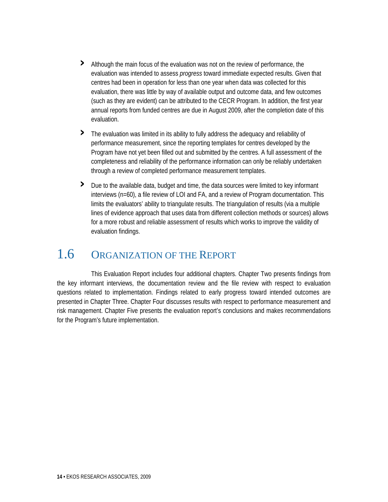- **›** Although the main focus of the evaluation was not on the review of performance, the evaluation was intended to assess *progress* toward immediate expected results. Given that centres had been in operation for less than one year when data was collected for this evaluation, there was little by way of available output and outcome data, and few outcomes (such as they are evident) can be attributed to the CECR Program. In addition, the first year annual reports from funded centres are due in August 2009, after the completion date of this evaluation.
- **›** The evaluation was limited in its ability to fully address the adequacy and reliability of performance measurement, since the reporting templates for centres developed by the Program have not yet been filled out and submitted by the centres. A full assessment of the completeness and reliability of the performance information can only be reliably undertaken through a review of completed performance measurement templates.
- **›** Due to the available data, budget and time, the data sources were limited to key informant interviews (n=60), a file review of LOI and FA, and a review of Program documentation. This limits the evaluators' ability to triangulate results. The triangulation of results (via a multiple lines of evidence approach that uses data from different collection methods or sources) allows for a more robust and reliable assessment of results which works to improve the validity of evaluation findings.

## 1.6 ORGANIZATION OF THE REPORT

 This Evaluation Report includes four additional chapters. Chapter Two presents findings from the key informant interviews, the documentation review and the file review with respect to evaluation questions related to implementation. Findings related to early progress toward intended outcomes are presented in Chapter Three. Chapter Four discusses results with respect to performance measurement and risk management. Chapter Five presents the evaluation report's conclusions and makes recommendations for the Program's future implementation.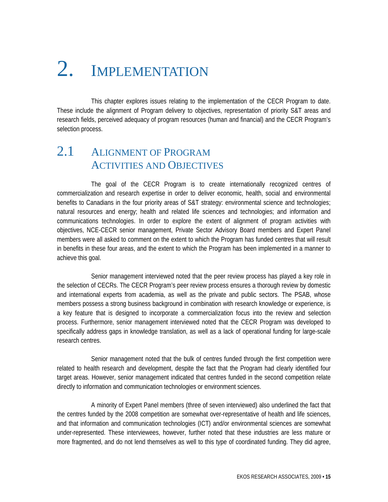# 2. IMPLEMENTATION

 This chapter explores issues relating to the implementation of the CECR Program to date. These include the alignment of Program delivery to objectives, representation of priority S&T areas and research fields, perceived adequacy of program resources (human and financial) and the CECR Program's selection process.

### 2.1 ALIGNMENT OF PROGRAM ACTIVITIES AND OBJECTIVES

 The goal of the CECR Program is to create internationally recognized centres of commercialization and research expertise in order to deliver economic, health, social and environmental benefits to Canadians in the four priority areas of S&T strategy: environmental science and technologies; natural resources and energy; health and related life sciences and technologies; and information and communications technologies. In order to explore the extent of alignment of program activities with objectives, NCE-CECR senior management, Private Sector Advisory Board members and Expert Panel members were all asked to comment on the extent to which the Program has funded centres that will result in benefits in these four areas, and the extent to which the Program has been implemented in a manner to achieve this goal.

 Senior management interviewed noted that the peer review process has played a key role in the selection of CECRs. The CECR Program's peer review process ensures a thorough review by domestic and international experts from academia, as well as the private and public sectors. The PSAB, whose members possess a strong business background in combination with research knowledge or experience, is a key feature that is designed to incorporate a commercialization focus into the review and selection process. Furthermore, senior management interviewed noted that the CECR Program was developed to specifically address gaps in knowledge translation, as well as a lack of operational funding for large-scale research centres.

 Senior management noted that the bulk of centres funded through the first competition were related to health research and development, despite the fact that the Program had clearly identified four target areas. However, senior management indicated that centres funded in the second competition relate directly to information and communication technologies or environment sciences.

 A minority of Expert Panel members (three of seven interviewed) also underlined the fact that the centres funded by the 2008 competition are somewhat over-representative of health and life sciences, and that information and communication technologies (ICT) and/or environmental sciences are somewhat under-represented. These interviewees, however, further noted that these industries are less mature or more fragmented, and do not lend themselves as well to this type of coordinated funding. They did agree,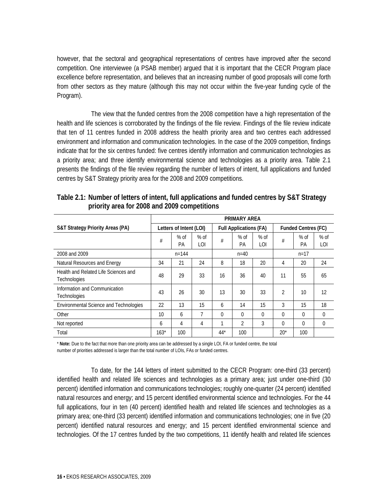however, that the sectoral and geographical representations of centres have improved after the second competition. One interviewee (a PSAB member) argued that it is important that the CECR Program place excellence before representation, and believes that an increasing number of good proposals will come forth from other sectors as they mature (although this may not occur within the five-year funding cycle of the Program).

 The view that the funded centres from the 2008 competition have a high representation of the health and life sciences is corroborated by the findings of the file review. Findings of the file review indicate that ten of 11 centres funded in 2008 address the health priority area and two centres each addressed environment and information and communication technologies. In the case of the 2009 competition, findings indicate that for the six centres funded: five centres identify information and communication technologies as a priority area; and three identify environmental science and technologies as a priority area. Table 2.1 presents the findings of the file review regarding the number of letters of intent, full applications and funded centres by S&T Strategy priority area for the 2008 and 2009 competitions.

|                                                      | <b>PRIMARY AREA</b>     |              |               |                               |                |               |                            |              |               |
|------------------------------------------------------|-------------------------|--------------|---------------|-------------------------------|----------------|---------------|----------------------------|--------------|---------------|
| <b>S&amp;T Strategy Priority Areas (PA)</b>          | Letters of Intent (LOI) |              |               | <b>Full Applications (FA)</b> |                |               | <b>Funded Centres (FC)</b> |              |               |
|                                                      | #                       | $%$ of<br>PА | $%$ of<br>LOI | #                             | $%$ of<br>PА   | $%$ of<br>LOI | #                          | $%$ of<br>PA | $%$ of<br>LOI |
| 2008 and 2009                                        | $n = 144$               |              |               | $n = 40$                      |                |               | $n = 17$                   |              |               |
| Natural Resources and Energy                         | 34                      | 21           | 24            | 8                             | 18             | 20            | 4                          | 20           | 24            |
| Health and Related Life Sciences and<br>Technologies | 48                      | 29           | 33            | 16                            | 36             | 40            | 11                         | 55           | 65            |
| Information and Communication<br>Technologies        | 43                      | 26           | 30            | 13                            | 30             | 33            | $\overline{2}$             | 10           | 12            |
| <b>Environmental Science and Technologies</b>        | 22                      | 13           | 15            | 6                             | 14             | 15            | 3                          | 15           | 18            |
| Other                                                | 10                      | 6            | 7             | $\Omega$                      | $\Omega$       | $\Omega$      | $\Omega$                   | $\Omega$     | 0             |
| Not reported                                         | 6                       | 4            | 4             | 1                             | $\overline{2}$ | 3             | $\Omega$                   | $\Omega$     | 0             |
| Total                                                | $163*$                  | 100          |               | $44*$                         | 100            |               | $20^*$                     | 100          |               |

**Table 2.1: Number of letters of intent, full applications and funded centres by S&T Strategy priority area for 2008 and 2009 competitions** 

\* **Note:** Due to the fact that more than one priority area can be addressed by a single LOI, FA or funded centre, the total number of priorities addressed is larger than the total number of LOIs, FAs or funded centres.

 To date, for the 144 letters of intent submitted to the CECR Program: one-third (33 percent) identified health and related life sciences and technologies as a primary area; just under one-third (30 percent) identified information and communications technologies; roughly one-quarter (24 percent) identified natural resources and energy; and 15 percent identified environmental science and technologies. For the 44 full applications, four in ten (40 percent) identified health and related life sciences and technologies as a primary area; one-third (33 percent) identified information and communications technologies; one in five (20 percent) identified natural resources and energy; and 15 percent identified environmental science and technologies. Of the 17 centres funded by the two competitions, 11 identify health and related life sciences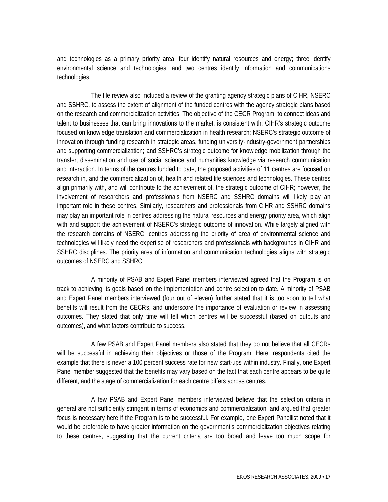and technologies as a primary priority area; four identify natural resources and energy; three identify environmental science and technologies; and two centres identify information and communications technologies.

 The file review also included a review of the granting agency strategic plans of CIHR, NSERC and SSHRC, to assess the extent of alignment of the funded centres with the agency strategic plans based on the research and commercialization activities. The objective of the CECR Program, to connect ideas and talent to businesses that can bring innovations to the market, is consistent with: CIHR's strategic outcome focused on knowledge translation and commercialization in health research; NSERC's strategic outcome of innovation through funding research in strategic areas, funding university-industry-government partnerships and supporting commercialization; and SSHRC's strategic outcome for knowledge mobilization through the transfer, dissemination and use of social science and humanities knowledge via research communication and interaction. In terms of the centres funded to date, the proposed activities of 11 centres are focused on research in, and the commercialization of, health and related life sciences and technologies. These centres align primarily with, and will contribute to the achievement of, the strategic outcome of CIHR; however, the involvement of researchers and professionals from NSERC and SSHRC domains will likely play an important role in these centres. Similarly, researchers and professionals from CIHR and SSHRC domains may play an important role in centres addressing the natural resources and energy priority area, which align with and support the achievement of NSERC's strategic outcome of innovation. While largely aligned with the research domains of NSERC, centres addressing the priority of area of environmental science and technologies will likely need the expertise of researchers and professionals with backgrounds in CIHR and SSHRC disciplines. The priority area of information and communication technologies aligns with strategic outcomes of NSERC and SSHRC.

 A minority of PSAB and Expert Panel members interviewed agreed that the Program is on track to achieving its goals based on the implementation and centre selection to date. A minority of PSAB and Expert Panel members interviewed (four out of eleven) further stated that it is too soon to tell what benefits will result from the CECRs, and underscore the importance of evaluation or review in assessing outcomes. They stated that only time will tell which centres will be successful (based on outputs and outcomes), and what factors contribute to success.

 A few PSAB and Expert Panel members also stated that they do not believe that all CECRs will be successful in achieving their objectives or those of the Program. Here, respondents cited the example that there is never a 100 percent success rate for new start-ups within industry. Finally, one Expert Panel member suggested that the benefits may vary based on the fact that each centre appears to be quite different, and the stage of commercialization for each centre differs across centres.

 A few PSAB and Expert Panel members interviewed believe that the selection criteria in general are not sufficiently stringent in terms of economics and commercialization, and argued that greater focus is necessary here if the Program is to be successful. For example, one Expert Panellist noted that it would be preferable to have greater information on the government's commercialization objectives relating to these centres, suggesting that the current criteria are too broad and leave too much scope for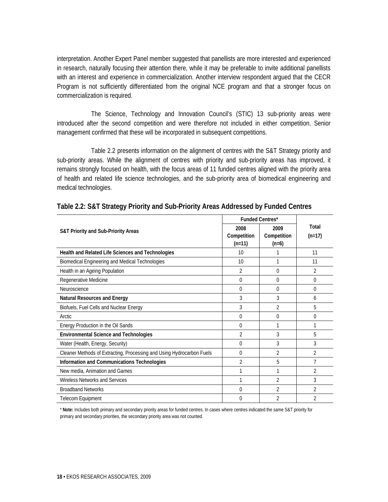interpretation. Another Expert Panel member suggested that panellists are more interested and experienced in research, naturally focusing their attention there, while it may be preferable to invite additional panellists with an interest and experience in commercialization. Another interview respondent argued that the CECR Program is not sufficiently differentiated from the original NCE program and that a stronger focus on commercialization is required.

 The Science, Technology and Innovation Council's (STIC) 13 sub-priority areas were introduced after the second competition and were therefore not included in either competition. Senior management confirmed that these will be incorporated in subsequent competitions.

 Table 2.2 presents information on the alignment of centres with the S&T Strategy priority and sub-priority areas. While the alignment of centres with priority and sub-priority areas has improved, it remains strongly focused on health, with the focus areas of 11 funded centres aligned with the priority area of health and related life science technologies, and the sub-priority area of biomedical engineering and medical technologies.

|                                                                       | <b>Funded Centres*</b> |                |                |
|-----------------------------------------------------------------------|------------------------|----------------|----------------|
| <b>S&amp;T Priority and Sub-Priority Areas</b>                        | 2008                   | 2009           | Total          |
|                                                                       | Competition            | Competition    | $(n=17)$       |
|                                                                       | $(n=11)$               | $(n=6)$        |                |
| Health and Related Life Sciences and Technologies                     | 10                     |                | 11             |
| Biomedical Engineering and Medical Technologies                       | 10                     | 1              | 11             |
| Health in an Ageing Population                                        | 2                      | 0              | 2              |
| Regenerative Medicine                                                 | $\Omega$               | $\Omega$       | 0              |
| Neuroscience                                                          | 0                      | 0              | 0              |
| <b>Natural Resources and Energy</b>                                   | 3                      | 3              | 6              |
| Biofuels, Fuel Cells and Nuclear Energy                               | 3                      | 2              | 5              |
| <b>Arctic</b>                                                         | 0                      | 0              | 0              |
| Energy Production in the Oil Sands                                    | 0                      |                | 1              |
| <b>Environmental Science and Technologies</b>                         | 2                      | 3              | 5              |
| Water (Health, Energy, Security)                                      | 0                      | 3              | 3              |
| Cleaner Methods of Extracting, Processing and Using Hydrocarbon Fuels | 0                      | $\overline{2}$ | $\overline{2}$ |
| Information and Communications Technologies                           | $\overline{2}$         | 5              | 7              |
| New media, Animation and Games                                        | 1                      | 1              | $\overline{2}$ |
| Wireless Networks and Services                                        | 1                      | $\overline{2}$ | 3              |
| <b>Broadband Networks</b>                                             | 0                      | $\overline{2}$ | $\overline{2}$ |
| Telecom Equipment                                                     | 0                      | 2              | 2              |

\* **Note:** Includes both primary and secondary priority areas for funded centres. In cases where centres indicated the same S&T priority for primary and secondary priorities, the secondary priority area was not counted.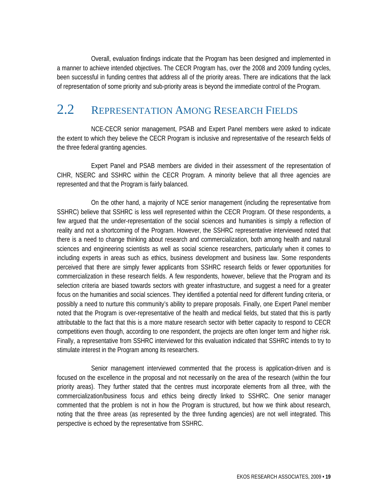Overall, evaluation findings indicate that the Program has been designed and implemented in a manner to achieve intended objectives. The CECR Program has, over the 2008 and 2009 funding cycles, been successful in funding centres that address all of the priority areas. There are indications that the lack of representation of some priority and sub-priority areas is beyond the immediate control of the Program.

### 2.2 REPRESENTATION AMONG RESEARCH FIELDS

 NCE-CECR senior management, PSAB and Expert Panel members were asked to indicate the extent to which they believe the CECR Program is inclusive and representative of the research fields of the three federal granting agencies.

 Expert Panel and PSAB members are divided in their assessment of the representation of CIHR, NSERC and SSHRC within the CECR Program. A minority believe that all three agencies are represented and that the Program is fairly balanced.

 On the other hand, a majority of NCE senior management (including the representative from SSHRC) believe that SSHRC is less well represented within the CECR Program. Of these respondents, a few argued that the under-representation of the social sciences and humanities is simply a reflection of reality and not a shortcoming of the Program. However, the SSHRC representative interviewed noted that there is a need to change thinking about research and commercialization, both among health and natural sciences and engineering scientists as well as social science researchers, particularly when it comes to including experts in areas such as ethics, business development and business law. Some respondents perceived that there are simply fewer applicants from SSHRC research fields or fewer opportunities for commercialization in these research fields. A few respondents, however, believe that the Program and its selection criteria are biased towards sectors with greater infrastructure, and suggest a need for a greater focus on the humanities and social sciences. They identified a potential need for different funding criteria, or possibly a need to nurture this community's ability to prepare proposals. Finally, one Expert Panel member noted that the Program is over-representative of the health and medical fields, but stated that this is partly attributable to the fact that this is a more mature research sector with better capacity to respond to CECR competitions even though, according to one respondent, the projects are often longer term and higher risk. Finally, a representative from SSHRC interviewed for this evaluation indicated that SSHRC intends to try to stimulate interest in the Program among its researchers.

 Senior management interviewed commented that the process is application-driven and is focused on the excellence in the proposal and not necessarily on the area of the research (within the four priority areas). They further stated that the centres must incorporate elements from all three, with the commercialization/business focus and ethics being directly linked to SSHRC. One senior manager commented that the problem is not in how the Program is structured, but how we think about research, noting that the three areas (as represented by the three funding agencies) are not well integrated. This perspective is echoed by the representative from SSHRC.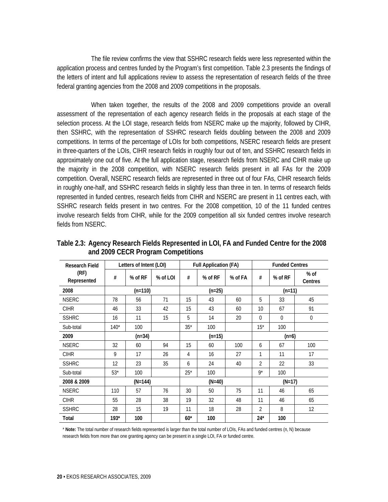The file review confirms the view that SSHRC research fields were less represented within the application process and centres funded by the Program's first competition. Table 2.3 presents the findings of the letters of intent and full applications review to assess the representation of research fields of the three federal granting agencies from the 2008 and 2009 competitions in the proposals.

 When taken together, the results of the 2008 and 2009 competitions provide an overall assessment of the representation of each agency research fields in the proposals at each stage of the selection process. At the LOI stage, research fields from NSERC make up the majority, followed by CIHR, then SSHRC, with the representation of SSHRC research fields doubling between the 2008 and 2009 competitions. In terms of the percentage of LOIs for both competitions, NSERC research fields are present in three-quarters of the LOIs, CIHR research fields in roughly four out of ten, and SSHRC research fields in approximately one out of five. At the full application stage, research fields from NSERC and CIHR make up the majority in the 2008 competition, with NSERC research fields present in all FAs for the 2009 competition. Overall, NSERC research fields are represented in three out of four FAs, CIHR research fields in roughly one-half, and SSHRC research fields in slightly less than three in ten. In terms of research fields represented in funded centres, research fields from CIHR and NSERC are present in 11 centres each, with SSHRC research fields present in two centres. For the 2008 competition, 10 of the 11 funded centres involve research fields from CIHR, while for the 2009 competition all six funded centres involve research fields from NSERC.

| <b>Research Field</b> |           | Letters of Intent (LOI) |          | <b>Full Application (FA)</b> |          |         | <b>Funded Centres</b> |             |                   |
|-----------------------|-----------|-------------------------|----------|------------------------------|----------|---------|-----------------------|-------------|-------------------|
| (RF)<br>Represented   | #         | % of RF                 | % of LOI | #                            | % of RF  | % of FA | #                     | % of RF     | $%$ of<br>Centres |
| 2008                  | $(n=110)$ |                         |          |                              | $(n=25)$ |         | $(n=11)$              |             |                   |
| <b>NSERC</b>          | 78        | 56                      | 71       | 15                           | 43       | 60      | 5                     | 33          | 45                |
| <b>CIHR</b>           | 46        | 33                      | 42       | 15                           | 43       | 60      | 10                    | 67          | 91                |
| <b>SSHRC</b>          | 16        | 11                      | 15       | 5                            | 14       | 20      | $\theta$              | $\mathbf 0$ | 0                 |
| Sub-total             | $140*$    | 100                     |          | $35*$                        | 100      |         | $15*$                 | 100         |                   |
| 2009                  |           | $(n=34)$                |          | $(n=15)$                     |          |         | $(n=6)$               |             |                   |
| <b>NSERC</b>          | 32        | 60                      | 94       | 15                           | 60       | 100     | 6                     | 67          | 100               |
| <b>CIHR</b>           | 9         | 17                      | 26       | 4                            | 16       | 27      | 1                     | 11          | 17                |
| <b>SSHRC</b>          | 12        | 23                      | 35       | 6                            | 24       | 40      | $\overline{2}$        | 22          | 33                |
| Sub-total             | $53*$     | 100                     |          | $25*$                        | 100      |         | $9*$                  | 100         |                   |
| 2008 & 2009           |           | $(N=144)$               |          | $(N=40)$                     |          |         | $(N=17)$              |             |                   |
| <b>NSERC</b>          | 110       | 57                      | 76       | 30                           | 50       | 75      | 11                    | 46          | 65                |
| <b>CIHR</b>           | 55        | 28                      | 38       | 19                           | 32       | 48      | 11                    | 46          | 65                |
| <b>SSHRC</b>          | 28        | 15                      | 19       | 11                           | 18       | 28      | $\overline{2}$        | 8           | 12                |
| Total                 | $193*$    | 100                     |          | $60*$                        | 100      |         | $24*$                 | 100         |                   |

**Table 2.3: Agency Research Fields Represented in LOI, FA and Funded Centre for the 2008 and 2009 CECR Program Competitions** 

\* **Note:** The total number of research fields represented is larger than the total number of LOIs, FAs and funded centres (n, N) because research fields from more than one granting agency can be present in a single LOI, FA or funded centre.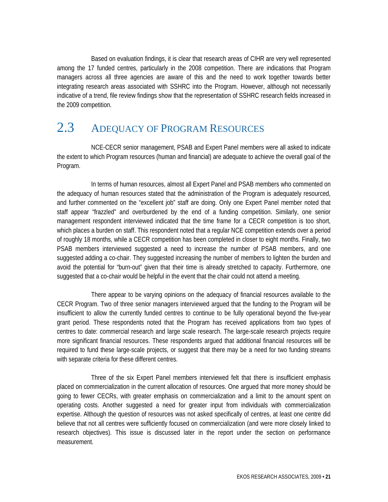Based on evaluation findings, it is clear that research areas of CIHR are very well represented among the 17 funded centres, particularly in the 2008 competition. There are indications that Program managers across all three agencies are aware of this and the need to work together towards better integrating research areas associated with SSHRC into the Program. However, although not necessarily indicative of a trend, file review findings show that the representation of SSHRC research fields increased in the 2009 competition.

## 2.3 ADEQUACY OF PROGRAM RESOURCES

 NCE-CECR senior management, PSAB and Expert Panel members were all asked to indicate the extent to which Program resources (human and financial) are adequate to achieve the overall goal of the Program.

 In terms of human resources, almost all Expert Panel and PSAB members who commented on the adequacy of human resources stated that the administration of the Program is adequately resourced, and further commented on the "excellent job" staff are doing. Only one Expert Panel member noted that staff appear "frazzled" and overburdened by the end of a funding competition. Similarly, one senior management respondent interviewed indicated that the time frame for a CECR competition is too short, which places a burden on staff. This respondent noted that a regular NCE competition extends over a period of roughly 18 months, while a CECR competition has been completed in closer to eight months. Finally, two PSAB members interviewed suggested a need to increase the number of PSAB members, and one suggested adding a co-chair. They suggested increasing the number of members to lighten the burden and avoid the potential for "burn-out" given that their time is already stretched to capacity. Furthermore, one suggested that a co-chair would be helpful in the event that the chair could not attend a meeting.

 There appear to be varying opinions on the adequacy of financial resources available to the CECR Program. Two of three senior managers interviewed argued that the funding to the Program will be insufficient to allow the currently funded centres to continue to be fully operational beyond the five-year grant period. These respondents noted that the Program has received applications from two types of centres to date: commercial research and large scale research. The large-scale research projects require more significant financial resources. These respondents argued that additional financial resources will be required to fund these large-scale projects, or suggest that there may be a need for two funding streams with separate criteria for these different centres.

 Three of the six Expert Panel members interviewed felt that there is insufficient emphasis placed on commercialization in the current allocation of resources. One argued that more money should be going to fewer CECRs, with greater emphasis on commercialization and a limit to the amount spent on operating costs. Another suggested a need for greater input from individuals with commercialization expertise. Although the question of resources was not asked specifically of centres, at least one centre did believe that not all centres were sufficiently focused on commercialization (and were more closely linked to research objectives). This issue is discussed later in the report under the section on performance measurement.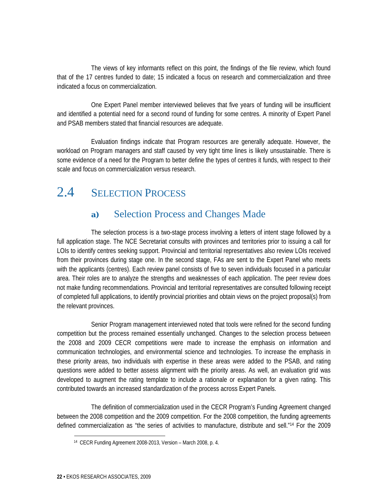The views of key informants reflect on this point, the findings of the file review, which found that of the 17 centres funded to date; 15 indicated a focus on research and commercialization and three indicated a focus on commercialization.

 One Expert Panel member interviewed believes that five years of funding will be insufficient and identified a potential need for a second round of funding for some centres. A minority of Expert Panel and PSAB members stated that financial resources are adequate.

 Evaluation findings indicate that Program resources are generally adequate. However, the workload on Program managers and staff caused by very tight time lines is likely unsustainable. There is some evidence of a need for the Program to better define the types of centres it funds, with respect to their scale and focus on commercialization versus research.

## 2.4 **SELECTION PROCESS**

#### **a)** Selection Process and Changes Made

 The selection process is a two-stage process involving a letters of intent stage followed by a full application stage. The NCE Secretariat consults with provinces and territories prior to issuing a call for LOIs to identify centres seeking support. Provincial and territorial representatives also review LOIs received from their provinces during stage one. In the second stage, FAs are sent to the Expert Panel who meets with the applicants (centres). Each review panel consists of five to seven individuals focused in a particular area. Their roles are to analyze the strengths and weaknesses of each application. The peer review does not make funding recommendations. Provincial and territorial representatives are consulted following receipt of completed full applications, to identify provincial priorities and obtain views on the project proposal(s) from the relevant provinces.

 Senior Program management interviewed noted that tools were refined for the second funding competition but the process remained essentially unchanged. Changes to the selection process between the 2008 and 2009 CECR competitions were made to increase the emphasis on information and communication technologies, and environmental science and technologies. To increase the emphasis in these priority areas, two individuals with expertise in these areas were added to the PSAB, and rating questions were added to better assess alignment with the priority areas. As well, an evaluation grid was developed to augment the rating template to include a rationale or explanation for a given rating. This contributed towards an increased standardization of the process across Expert Panels.

 The definition of commercialization used in the CECR Program's Funding Agreement changed between the 2008 competition and the 2009 competition. For the 2008 competition, the funding agreements defined commercialization as "the series of activities to manufacture, distribute and sell."14 For the 2009

<sup>14</sup> CECR Funding Agreement 2008-2013, Version – March 2008, p. 4.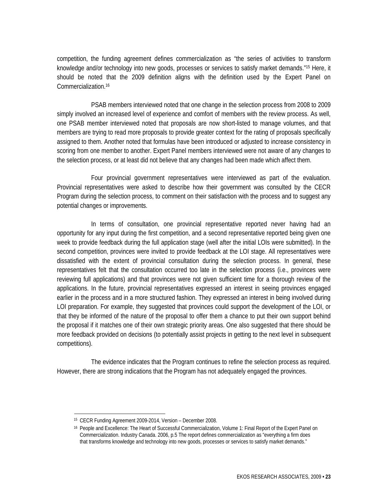competition, the funding agreement defines commercialization as "the series of activities to transform knowledge and/or technology into new goods, processes or services to satisfy market demands."15 Here, it should be noted that the 2009 definition aligns with the definition used by the Expert Panel on Commercialization.16

 PSAB members interviewed noted that one change in the selection process from 2008 to 2009 simply involved an increased level of experience and comfort of members with the review process. As well, one PSAB member interviewed noted that proposals are now short-listed to manage volumes, and that members are trying to read more proposals to provide greater context for the rating of proposals specifically assigned to them. Another noted that formulas have been introduced or adjusted to increase consistency in scoring from one member to another. Expert Panel members interviewed were not aware of any changes to the selection process, or at least did not believe that any changes had been made which affect them.

 Four provincial government representatives were interviewed as part of the evaluation. Provincial representatives were asked to describe how their government was consulted by the CECR Program during the selection process, to comment on their satisfaction with the process and to suggest any potential changes or improvements.

 In terms of consultation, one provincial representative reported never having had an opportunity for any input during the first competition, and a second representative reported being given one week to provide feedback during the full application stage (well after the initial LOIs were submitted). In the second competition, provinces were invited to provide feedback at the LOI stage. All representatives were dissatisfied with the extent of provincial consultation during the selection process. In general, these representatives felt that the consultation occurred too late in the selection process (i.e., provinces were reviewing full applications) and that provinces were not given sufficient time for a thorough review of the applications. In the future, provincial representatives expressed an interest in seeing provinces engaged earlier in the process and in a more structured fashion. They expressed an interest in being involved during LOI preparation. For example, they suggested that provinces could support the development of the LOI, or that they be informed of the nature of the proposal to offer them a chance to put their own support behind the proposal if it matches one of their own strategic priority areas. One also suggested that there should be more feedback provided on decisions (to potentially assist projects in getting to the next level in subsequent competitions).

 The evidence indicates that the Program continues to refine the selection process as required. However, there are strong indications that the Program has not adequately engaged the provinces.

<sup>15</sup> CECR Funding Agreement 2009-2014, Version – December 2008.

<sup>16</sup> People and Excellence: The Heart of Successful Commercialization, Volume 1: Final Report of the Expert Panel on Commercialization. Industry Canada. 2006, p.5 The report defines commercialization as "everything a firm does that transforms knowledge and technology into new goods, processes or services to satisfy market demands."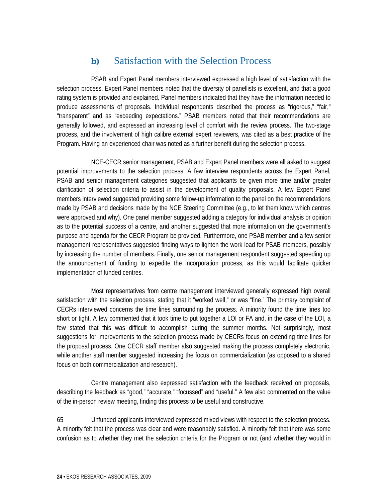#### **b)** Satisfaction with the Selection Process

 PSAB and Expert Panel members interviewed expressed a high level of satisfaction with the selection process. Expert Panel members noted that the diversity of panellists is excellent, and that a good rating system is provided and explained. Panel members indicated that they have the information needed to produce assessments of proposals. Individual respondents described the process as "rigorous," "fair," "transparent" and as "exceeding expectations." PSAB members noted that their recommendations are generally followed, and expressed an increasing level of comfort with the review process. The two-stage process, and the involvement of high calibre external expert reviewers, was cited as a best practice of the Program. Having an experienced chair was noted as a further benefit during the selection process.

 NCE-CECR senior management, PSAB and Expert Panel members were all asked to suggest potential improvements to the selection process. A few interview respondents across the Expert Panel, PSAB and senior management categories suggested that applicants be given more time and/or greater clarification of selection criteria to assist in the development of quality proposals. A few Expert Panel members interviewed suggested providing some follow-up information to the panel on the recommendations made by PSAB and decisions made by the NCE Steering Committee (e.g., to let them know which centres were approved and why). One panel member suggested adding a category for individual analysis or opinion as to the potential success of a centre, and another suggested that more information on the government's purpose and agenda for the CECR Program be provided. Furthermore, one PSAB member and a few senior management representatives suggested finding ways to lighten the work load for PSAB members, possibly by increasing the number of members. Finally, one senior management respondent suggested speeding up the announcement of funding to expedite the incorporation process, as this would facilitate quicker implementation of funded centres.

 Most representatives from centre management interviewed generally expressed high overall satisfaction with the selection process, stating that it "worked well," or was "fine." The primary complaint of CECRs interviewed concerns the time lines surrounding the process. A minority found the time lines too short or tight. A few commented that it took time to put together a LOI or FA and, in the case of the LOI, a few stated that this was difficult to accomplish during the summer months. Not surprisingly, most suggestions for improvements to the selection process made by CECRs focus on extending time lines for the proposal process. One CECR staff member also suggested making the process completely electronic, while another staff member suggested increasing the focus on commercialization (as opposed to a shared focus on both commercialization and research).

 Centre management also expressed satisfaction with the feedback received on proposals, describing the feedback as "good," "accurate," "focussed" and "useful." A few also commented on the value of the in-person review meeting, finding this process to be useful and constructive.

65 Unfunded applicants interviewed expressed mixed views with respect to the selection process. A minority felt that the process was clear and were reasonably satisfied. A minority felt that there was some confusion as to whether they met the selection criteria for the Program or not (and whether they would in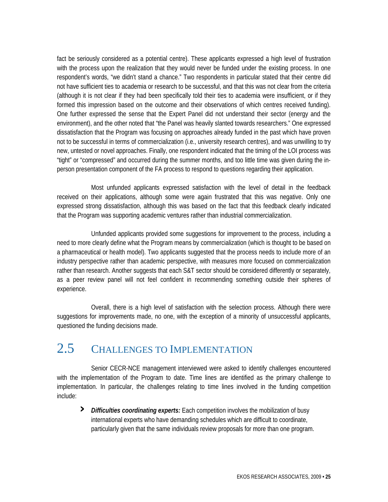fact be seriously considered as a potential centre). These applicants expressed a high level of frustration with the process upon the realization that they would never be funded under the existing process. In one respondent's words, "we didn't stand a chance." Two respondents in particular stated that their centre did not have sufficient ties to academia or research to be successful, and that this was not clear from the criteria (although it is not clear if they had been specifically told their ties to academia were insufficient, or if they formed this impression based on the outcome and their observations of which centres received funding). One further expressed the sense that the Expert Panel did not understand their sector (energy and the environment), and the other noted that "the Panel was heavily slanted towards researchers." One expressed dissatisfaction that the Program was focusing on approaches already funded in the past which have proven not to be successful in terms of commercialization (i.e., university research centres), and was unwilling to try new, untested or novel approaches. Finally, one respondent indicated that the timing of the LOI process was "tight" or "compressed" and occurred during the summer months, and too little time was given during the inperson presentation component of the FA process to respond to questions regarding their application.

 Most unfunded applicants expressed satisfaction with the level of detail in the feedback received on their applications, although some were again frustrated that this was negative. Only one expressed strong dissatisfaction, although this was based on the fact that this feedback clearly indicated that the Program was supporting academic ventures rather than industrial commercialization.

 Unfunded applicants provided some suggestions for improvement to the process, including a need to more clearly define what the Program means by commercialization (which is thought to be based on a pharmaceutical or health model). Two applicants suggested that the process needs to include more of an industry perspective rather than academic perspective, with measures more focused on commercialization rather than research. Another suggests that each S&T sector should be considered differently or separately, as a peer review panel will not feel confident in recommending something outside their spheres of experience.

 Overall, there is a high level of satisfaction with the selection process. Although there were suggestions for improvements made, no one, with the exception of a minority of unsuccessful applicants, questioned the funding decisions made.

## 2.5 CHALLENGES TO IMPLEMENTATION

 Senior CECR-NCE management interviewed were asked to identify challenges encountered with the implementation of the Program to date. Time lines are identified as the primary challenge to implementation. In particular, the challenges relating to time lines involved in the funding competition include:

**›** *Difficulties coordinating experts:* Each competition involves the mobilization of busy international experts who have demanding schedules which are difficult to coordinate, particularly given that the same individuals review proposals for more than one program.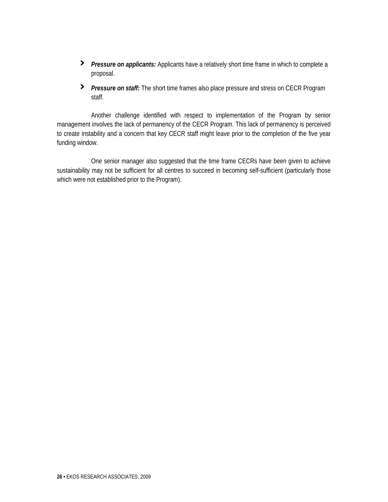- **›** *Pressure on applicants:* Applicants have a relatively short time frame in which to complete a proposal.
- **›** *Pressure on staff:* The short time frames also place pressure and stress on CECR Program staff.

 Another challenge identified with respect to implementation of the Program by senior management involves the lack of permanency of the CECR Program. This lack of permanency is perceived to create instability and a concern that key CECR staff might leave prior to the completion of the five year funding window.

 One senior manager also suggested that the time frame CECRs have been given to achieve sustainability may not be sufficient for all centres to succeed in becoming self-sufficient (particularly those which were not established prior to the Program).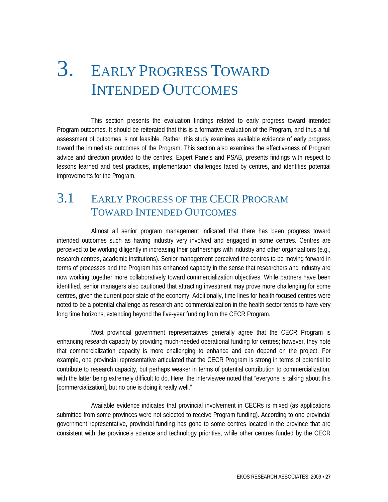# 3. EARLY PROGRESS TOWARD INTENDED OUTCOMES

 This section presents the evaluation findings related to early progress toward intended Program outcomes. It should be reiterated that this is a formative evaluation of the Program, and thus a full assessment of outcomes is not feasible. Rather, this study examines available evidence of early progress toward the immediate outcomes of the Program. This section also examines the effectiveness of Program advice and direction provided to the centres, Expert Panels and PSAB, presents findings with respect to lessons learned and best practices, implementation challenges faced by centres, and identifies potential improvements for the Program.

## 3.1 EARLY PROGRESS OF THE CECR PROGRAM TOWARD INTENDED OUTCOMES

 Almost all senior program management indicated that there has been progress toward intended outcomes such as having industry very involved and engaged in some centres. Centres are perceived to be working diligently in increasing their partnerships with industry and other organizations (e.g., research centres, academic institutions). Senior management perceived the centres to be moving forward in terms of processes and the Program has enhanced capacity in the sense that researchers and industry are now working together more collaboratively toward commercialization objectives. While partners have been identified, senior managers also cautioned that attracting investment may prove more challenging for some centres, given the current poor state of the economy. Additionally, time lines for health-focused centres were noted to be a potential challenge as research and commercialization in the health sector tends to have very long time horizons, extending beyond the five-year funding from the CECR Program.

 Most provincial government representatives generally agree that the CECR Program is enhancing research capacity by providing much-needed operational funding for centres; however, they note that commercialization capacity is more challenging to enhance and can depend on the project. For example, one provincial representative articulated that the CECR Program is strong in terms of potential to contribute to research capacity, but perhaps weaker in terms of potential contribution to commercialization, with the latter being extremely difficult to do. Here, the interviewee noted that "everyone is talking about this [commercialization], but no one is doing it really well."

 Available evidence indicates that provincial involvement in CECRs is mixed (as applications submitted from some provinces were not selected to receive Program funding). According to one provincial government representative, provincial funding has gone to some centres located in the province that are consistent with the province's science and technology priorities, while other centres funded by the CECR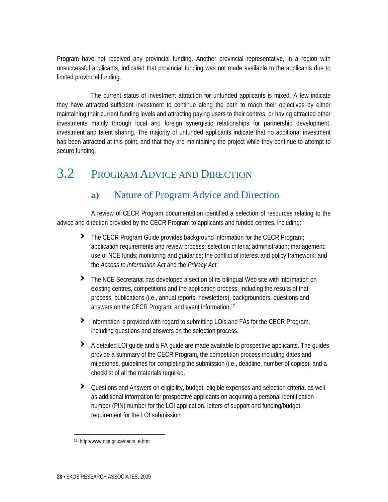Program have not received any provincial funding. Another provincial representative, in a region with unsuccessful applicants, indicated that provincial funding was not made available to the applicants due to limited provincial funding.

 The current status of investment attraction for unfunded applicants is mixed. A few indicate they have attracted sufficient investment to continue along the path to reach their objectives by either maintaining their current funding levels and attracting paying users to their centres, or having attracted other investments mainly through local and foreign synergistic relationships for partnership development, investment and talent sharing. The majority of unfunded applicants indicate that no additional investment has been attracted at this point, and that they are maintaining the project while they continue to attempt to secure funding.

## 3.2 PROGRAM ADVICE AND DIRECTION

### **a)** Nature of Program Advice and Direction

 A review of CECR Program documentation identified a selection of resources relating to the advice and direction provided by the CECR Program to applicants and funded centres, including:

- **›** The CECR Program Guide provides background information for the CECR Program; application requirements and review process; selection criteria; administration; management; use of NCE funds; monitoring and guidance; the conflict of interest and policy framework; and the *Access to Information Act* and the *Privacy Act*.
- **›** The NCE Secretariat has developed a section of its bilingual Web site with information on existing centres, competitions and the application process, including the results of that process, publications (i.e., annual reports, newsletters), backgrounders, questions and answers on the CECR Program, and event information.17
- **›** Information is provided with regard to submitting LOIs and FAs for the CECR Program, including questions and answers on the selection process.
- **›** A detailed LOI guide and a FA guide are made available to prospective applicants. The guides provide a summary of the CECR Program, the competition process including dates and milestones, guidelines for completing the submission (i.e., deadline, number of copies), and a checklist of all the materials required.
- **›** Questions and Answers on eligibility, budget, eligible expenses and selection criteria, as well as additional information for prospective applicants on acquiring a personal identification number (PIN) number for the LOI application, letters of support and funding/budget requirement for the LOI submission.

<sup>17</sup> http://www.nce.gc.ca/cecrs\_e.htm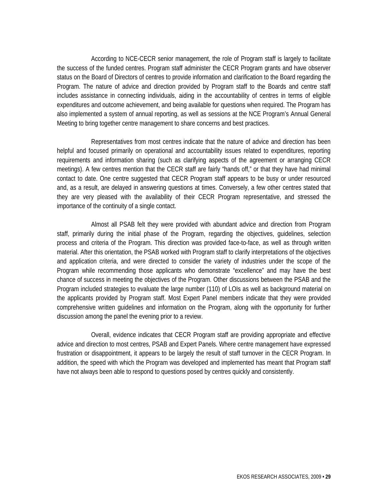According to NCE-CECR senior management, the role of Program staff is largely to facilitate the success of the funded centres. Program staff administer the CECR Program grants and have observer status on the Board of Directors of centres to provide information and clarification to the Board regarding the Program. The nature of advice and direction provided by Program staff to the Boards and centre staff includes assistance in connecting individuals, aiding in the accountability of centres in terms of eligible expenditures and outcome achievement, and being available for questions when required. The Program has also implemented a system of annual reporting, as well as sessions at the NCE Program's Annual General Meeting to bring together centre management to share concerns and best practices.

 Representatives from most centres indicate that the nature of advice and direction has been helpful and focused primarily on operational and accountability issues related to expenditures, reporting requirements and information sharing (such as clarifying aspects of the agreement or arranging CECR meetings). A few centres mention that the CECR staff are fairly "hands off," or that they have had minimal contact to date. One centre suggested that CECR Program staff appears to be busy or under resourced and, as a result, are delayed in answering questions at times. Conversely, a few other centres stated that they are very pleased with the availability of their CECR Program representative, and stressed the importance of the continuity of a single contact.

 Almost all PSAB felt they were provided with abundant advice and direction from Program staff, primarily during the initial phase of the Program, regarding the objectives, guidelines, selection process and criteria of the Program. This direction was provided face-to-face, as well as through written material. After this orientation, the PSAB worked with Program staff to clarify interpretations of the objectives and application criteria, and were directed to consider the variety of industries under the scope of the Program while recommending those applicants who demonstrate "excellence" and may have the best chance of success in meeting the objectives of the Program. Other discussions between the PSAB and the Program included strategies to evaluate the large number (110) of LOIs as well as background material on the applicants provided by Program staff. Most Expert Panel members indicate that they were provided comprehensive written guidelines and information on the Program, along with the opportunity for further discussion among the panel the evening prior to a review.

 Overall, evidence indicates that CECR Program staff are providing appropriate and effective advice and direction to most centres, PSAB and Expert Panels. Where centre management have expressed frustration or disappointment, it appears to be largely the result of staff turnover in the CECR Program. In addition, the speed with which the Program was developed and implemented has meant that Program staff have not always been able to respond to questions posed by centres quickly and consistently.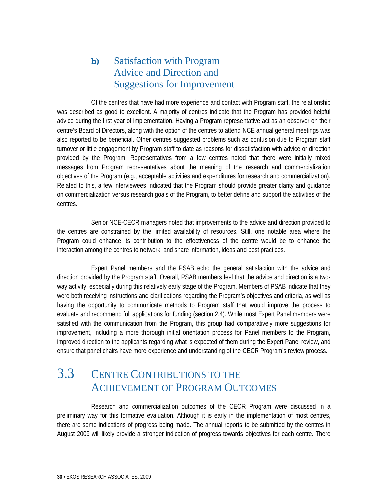### **b)** Satisfaction with Program Advice and Direction and Suggestions for Improvement

 Of the centres that have had more experience and contact with Program staff, the relationship was described as good to excellent. A majority of centres indicate that the Program has provided helpful advice during the first year of implementation. Having a Program representative act as an observer on their centre's Board of Directors, along with the option of the centres to attend NCE annual general meetings was also reported to be beneficial. Other centres suggested problems such as confusion due to Program staff turnover or little engagement by Program staff to date as reasons for dissatisfaction with advice or direction provided by the Program. Representatives from a few centres noted that there were initially mixed messages from Program representatives about the meaning of the research and commercialization objectives of the Program (e.g., acceptable activities and expenditures for research and commercialization). Related to this, a few interviewees indicated that the Program should provide greater clarity and guidance on commercialization versus research goals of the Program, to better define and support the activities of the centres.

 Senior NCE-CECR managers noted that improvements to the advice and direction provided to the centres are constrained by the limited availability of resources. Still, one notable area where the Program could enhance its contribution to the effectiveness of the centre would be to enhance the interaction among the centres to network, and share information, ideas and best practices.

 Expert Panel members and the PSAB echo the general satisfaction with the advice and direction provided by the Program staff. Overall, PSAB members feel that the advice and direction is a twoway activity, especially during this relatively early stage of the Program. Members of PSAB indicate that they were both receiving instructions and clarifications regarding the Program's objectives and criteria, as well as having the opportunity to communicate methods to Program staff that would improve the process to evaluate and recommend full applications for funding (section 2.4). While most Expert Panel members were satisfied with the communication from the Program, this group had comparatively more suggestions for improvement, including a more thorough initial orientation process for Panel members to the Program, improved direction to the applicants regarding what is expected of them during the Expert Panel review, and ensure that panel chairs have more experience and understanding of the CECR Program's review process.

## 3.3 CENTRE CONTRIBUTIONS TO THE ACHIEVEMENT OF PROGRAM OUTCOMES

 Research and commercialization outcomes of the CECR Program were discussed in a preliminary way for this formative evaluation. Although it is early in the implementation of most centres, there are some indications of progress being made. The annual reports to be submitted by the centres in August 2009 will likely provide a stronger indication of progress towards objectives for each centre. There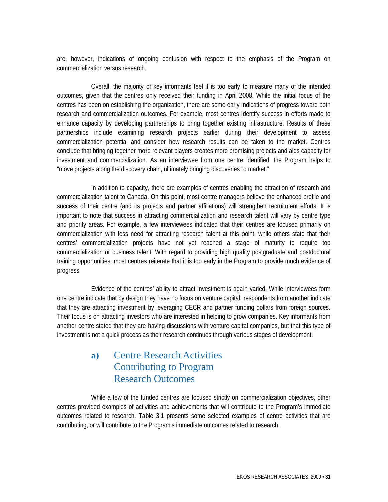are, however, indications of ongoing confusion with respect to the emphasis of the Program on commercialization versus research.

 Overall, the majority of key informants feel it is too early to measure many of the intended outcomes, given that the centres only received their funding in April 2008. While the initial focus of the centres has been on establishing the organization, there are some early indications of progress toward both research and commercialization outcomes. For example, most centres identify success in efforts made to enhance capacity by developing partnerships to bring together existing infrastructure. Results of these partnerships include examining research projects earlier during their development to assess commercialization potential and consider how research results can be taken to the market. Centres conclude that bringing together more relevant players creates more promising projects and aids capacity for investment and commercialization. As an interviewee from one centre identified, the Program helps to "move projects along the discovery chain, ultimately bringing discoveries to market."

 In addition to capacity, there are examples of centres enabling the attraction of research and commercialization talent to Canada. On this point, most centre managers believe the enhanced profile and success of their centre (and its projects and partner affiliations) will strengthen recruitment efforts. It is important to note that success in attracting commercialization and research talent will vary by centre type and priority areas. For example, a few interviewees indicated that their centres are focused primarily on commercialization with less need for attracting research talent at this point, while others state that their centres' commercialization projects have not yet reached a stage of maturity to require top commercialization or business talent. With regard to providing high quality postgraduate and postdoctoral training opportunities, most centres reiterate that it is too early in the Program to provide much evidence of progress.

 Evidence of the centres' ability to attract investment is again varied. While interviewees form one centre indicate that by design they have no focus on venture capital, respondents from another indicate that they are attracting investment by leveraging CECR and partner funding dollars from foreign sources. Their focus is on attracting investors who are interested in helping to grow companies. Key informants from another centre stated that they are having discussions with venture capital companies, but that this type of investment is not a quick process as their research continues through various stages of development.

### **a)** Centre Research Activities Contributing to Program Research Outcomes

 While a few of the funded centres are focused strictly on commercialization objectives, other centres provided examples of activities and achievements that will contribute to the Program's immediate outcomes related to research. Table 3.1 presents some selected examples of centre activities that are contributing, or will contribute to the Program's immediate outcomes related to research.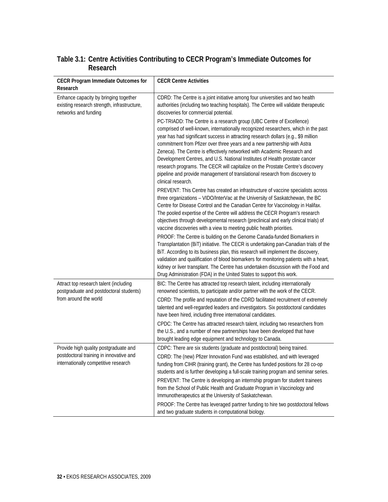#### **Table 3.1: Centre Activities Contributing to CECR Program's Immediate Outcomes for Research**

| <b>CECR Program Immediate Outcomes for</b>                                                                               | <b>CECR Centre Activities</b>                                                                                                                                                                                                                                                                                                                                                                                                                                                                                                                                                                                                                                                 |
|--------------------------------------------------------------------------------------------------------------------------|-------------------------------------------------------------------------------------------------------------------------------------------------------------------------------------------------------------------------------------------------------------------------------------------------------------------------------------------------------------------------------------------------------------------------------------------------------------------------------------------------------------------------------------------------------------------------------------------------------------------------------------------------------------------------------|
| Research                                                                                                                 |                                                                                                                                                                                                                                                                                                                                                                                                                                                                                                                                                                                                                                                                               |
| Enhance capacity by bringing together<br>existing research strength, infrastructure,<br>networks and funding             | CDRD: The Centre is a joint initiative among four universities and two health<br>authorities (including two teaching hospitals). The Centre will validate therapeutic<br>discoveries for commercial potential.                                                                                                                                                                                                                                                                                                                                                                                                                                                                |
|                                                                                                                          | PC-TRIADD: The Centre is a research group (UBC Centre of Excellence)<br>comprised of well-known, internationally recognized researchers, which in the past<br>year has had significant success in attracting research dollars (e.g., \$9 million<br>commitment from Pfizer over three years and a new partnership with Astra<br>Zeneca). The Centre is effectively networked with Academic Research and<br>Development Centres, and U.S. National Institutes of Health prostate cancer<br>research programs. The CECR will capitalize on the Prostate Centre's discovery<br>pipeline and provide management of translational research from discovery to<br>clinical research. |
|                                                                                                                          | PREVENT: This Centre has created an infrastructure of vaccine specialists across<br>three organizations - VIDO/InterVac at the University of Saskatchewan, the BC<br>Centre for Disease Control and the Canadian Centre for Vaccinology in Halifax.<br>The pooled expertise of the Centre will address the CECR Program's research<br>objectives through developmental research (preclinical and early clinical trials) of<br>vaccine discoveries with a view to meeting public health priorities.                                                                                                                                                                            |
|                                                                                                                          | PROOF: The Centre is building on the Genome Canada-funded Biomarkers in<br>Transplantation (BiT) initiative. The CECR is undertaking pan-Canadian trials of the<br>BiT. According to its business plan, this research will implement the discovery,<br>validation and qualification of blood biomarkers for monitoring patients with a heart,<br>kidney or liver transplant. The Centre has undertaken discussion with the Food and<br>Drug Administration (FDA) in the United States to support this work.                                                                                                                                                                   |
| Attract top research talent (including<br>postgraduate and postdoctoral students)<br>from around the world               | BIC: The Centre has attracted top research talent, including internationally<br>renowned scientists, to participate and/or partner with the work of the CECR.<br>CDRD: The profile and reputation of the CDRD facilitated recruitment of extremely<br>talented and well-regarded leaders and investigators. Six postdoctoral candidates<br>have been hired, including three international candidates.<br>CPDC: The Centre has attracted research talent, including two researchers from<br>the U.S., and a number of new partnerships have been developed that have<br>brought leading edge equipment and technology to Canada.                                               |
| Provide high quality postgraduate and<br>postdoctoral training in innovative and<br>internationally competitive research | CDPC: There are six students (graduate and postdoctoral) being trained.<br>CDRD: The (new) Pfizer Innovation Fund was established, and with leveraged<br>funding from CIHR (training grant), the Centre has funded positions for 28 co-op<br>students and is further developing a full-scale training program and seminar series.<br>PREVENT: The Centre is developing an internship program for student trainees<br>from the School of Public Health and Graduate Program in Vaccinology and<br>Immunotherapeutics at the University of Saskatchewan.                                                                                                                        |
|                                                                                                                          | PROOF: The Centre has leveraged partner funding to hire two postdoctoral fellows<br>and two graduate students in computational biology.                                                                                                                                                                                                                                                                                                                                                                                                                                                                                                                                       |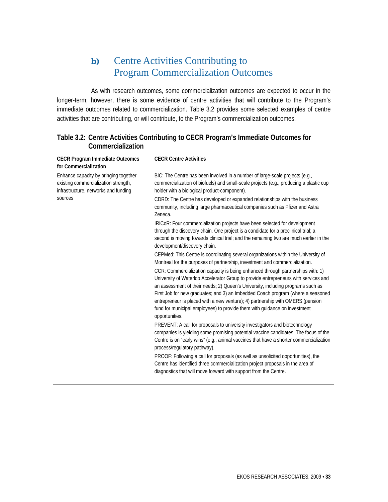### **b)** Centre Activities Contributing to Program Commercialization Outcomes

 As with research outcomes, some commercialization outcomes are expected to occur in the longer-term; however, there is some evidence of centre activities that will contribute to the Program's immediate outcomes related to commercialization. Table 3.2 provides some selected examples of centre activities that are contributing, or will contribute, to the Program's commercialization outcomes.

| <b>CECR Program Immediate Outcomes</b><br>for Commercialization                                                                  | <b>CECR Centre Activities</b>                                                                                                                                                                                                                                                                                                                                                                                                                                                                                                                                                                                                                                                                                                                                                                                                                                                                                                                                                                                                                                                                                                                                                                                                                                                                                                                                                                                                                                                                                                                                                                                                                                                                                                                                                                                                                                                                                                                  |
|----------------------------------------------------------------------------------------------------------------------------------|------------------------------------------------------------------------------------------------------------------------------------------------------------------------------------------------------------------------------------------------------------------------------------------------------------------------------------------------------------------------------------------------------------------------------------------------------------------------------------------------------------------------------------------------------------------------------------------------------------------------------------------------------------------------------------------------------------------------------------------------------------------------------------------------------------------------------------------------------------------------------------------------------------------------------------------------------------------------------------------------------------------------------------------------------------------------------------------------------------------------------------------------------------------------------------------------------------------------------------------------------------------------------------------------------------------------------------------------------------------------------------------------------------------------------------------------------------------------------------------------------------------------------------------------------------------------------------------------------------------------------------------------------------------------------------------------------------------------------------------------------------------------------------------------------------------------------------------------------------------------------------------------------------------------------------------------|
| Enhance capacity by bringing together<br>existing commercialization strength,<br>infrastructure, networks and funding<br>sources | BIC: The Centre has been involved in a number of large-scale projects (e.g.,<br>commercialization of biofuels) and small-scale projects (e.g., producing a plastic cup<br>holder with a biological product-component).<br>CDRD: The Centre has developed or expanded relationships with the business<br>community, including large pharmaceutical companies such as Pfizer and Astra<br>Zeneca.<br>IRICoR: Four commercialization projects have been selected for development<br>through the discovery chain. One project is a candidate for a preclinical trial; a<br>second is moving towards clinical trial; and the remaining two are much earlier in the<br>development/discovery chain.<br>CEPMed: This Centre is coordinating several organizations within the University of<br>Montreal for the purposes of partnership, investment and commercialization.<br>CCR: Commercialization capacity is being enhanced through partnerships with: 1)<br>University of Waterloo Accelerator Group to provide entrepreneurs with services and<br>an assessment of their needs; 2) Queen's University, including programs such as<br>First Job for new graduates; and 3) an Imbedded Coach program (where a seasoned<br>entrepreneur is placed with a new venture); 4) partnership with OMERS (pension<br>fund for municipal employees) to provide them with guidance on investment<br>opportunities.<br>PREVENT: A call for proposals to university investigators and biotechnology<br>companies is yielding some promising potential vaccine candidates. The focus of the<br>Centre is on "early wins" (e.g., animal vaccines that have a shorter commercialization<br>process/regulatory pathway).<br>PROOF: Following a call for proposals (as well as unsolicited opportunities), the<br>Centre has identified three commercialization project proposals in the area of<br>diagnostics that will move forward with support from the Centre. |

#### **Table 3.2: Centre Activities Contributing to CECR Program's Immediate Outcomes for Commercialization**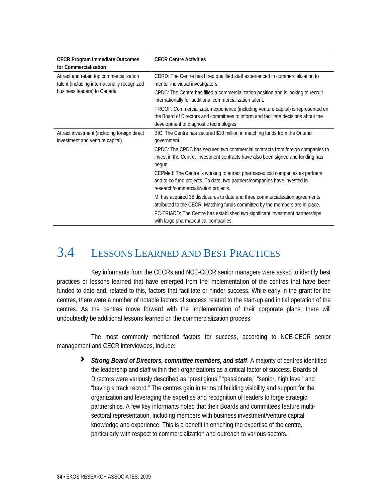| <b>CECR Program Immediate Outcomes</b><br>for Commercialization                                                         | <b>CECR Centre Activities</b>                                                                                                                                                                                      |
|-------------------------------------------------------------------------------------------------------------------------|--------------------------------------------------------------------------------------------------------------------------------------------------------------------------------------------------------------------|
| Attract and retain top commercialization<br>talent (including internationally recognized<br>business leaders) to Canada | CDRD: The Centre has hired qualified staff experienced in commercialization to<br>mentor individual investigators.                                                                                                 |
|                                                                                                                         | CPDC: The Centre has filled a commercialization position and is looking to recruit<br>internationally for additional commercialization talent.                                                                     |
|                                                                                                                         | PROOF: Commercialization experience (including venture capital) is represented on<br>the Board of Directors and committees to inform and facilitate decisions about the<br>development of diagnostic technologies. |
| Attract investment (including foreign direct<br>investment and venture capital)                                         | BIC: The Centre has secured \$10 million in matching funds from the Ontario<br>government.                                                                                                                         |
|                                                                                                                         | CPDC: The CPDC has secured two commercial contracts from foreign companies to<br>invest in the Centre. Investment contracts have also been signed and funding has<br>begun.                                        |
|                                                                                                                         | CEPMed: The Centre is working to attract pharmaceutical companies as partners<br>and to co-fund projects. To date, two partners/companies have invested in<br>research/commercialization projects.                 |
|                                                                                                                         | MI has acquired 38 disclosures to date and three commercialization agreements<br>attributed to the CECR. Matching funds committed by the members are in place.                                                     |
|                                                                                                                         | PC-TRIADD: The Centre has established two significant investment partnerships<br>with large pharmaceutical companies.                                                                                              |

## 3.4 LESSONS LEARNED AND BEST PRACTICES

 Key informants from the CECRs and NCE-CECR senior managers were asked to identify best practices or lessons learned that have emerged from the implementation of the centres that have been funded to date and, related to this, factors that facilitate or hinder success. While early in the grant for the centres, there were a number of notable factors of success related to the start-up and initial operation of the centres. As the centres move forward with the implementation of their corporate plans, there will undoubtedly be additional lessons learned on the commercialization process.

 The most commonly mentioned factors for success, according to NCE-CECR senior management and CECR interviewees, include:

**›** *Strong Board of Directors, committee members, and staff*. A majority of centres identified the leadership and staff within their organizations as a critical factor of success. Boards of Directors were variously described as "prestigious," "passionate," "senior, high level" and "having a track record." The centres gain in terms of building visibility and support for the organization and leveraging the expertise and recognition of leaders to forge strategic partnerships. A few key informants noted that their Boards and committees feature multisectoral representation, including members with business investment/venture capital knowledge and experience. This is a benefit in enriching the expertise of the centre, particularly with respect to commercialization and outreach to various sectors.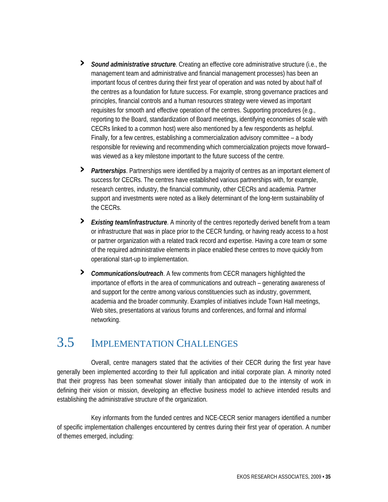- **›** *Sound administrative structure*. Creating an effective core administrative structure (i.e., the management team and administrative and financial management processes) has been an important focus of centres during their first year of operation and was noted by about half of the centres as a foundation for future success. For example, strong governance practices and principles, financial controls and a human resources strategy were viewed as important requisites for smooth and effective operation of the centres. Supporting procedures (e.g., reporting to the Board, standardization of Board meetings, identifying economies of scale with CECRs linked to a common host) were also mentioned by a few respondents as helpful. Finally, for a few centres, establishing a commercialization advisory committee – a body responsible for reviewing and recommending which commercialization projects move forward– was viewed as a key milestone important to the future success of the centre.
- **›** *Partnerships*. Partnerships were identified by a majority of centres as an important element of success for CECRs. The centres have established various partnerships with, for example, research centres, industry, the financial community, other CECRs and academia. Partner support and investments were noted as a likely determinant of the long-term sustainability of the CECRs.
- **›** *Existing team/infrastructure*. A minority of the centres reportedly derived benefit from a team or infrastructure that was in place prior to the CECR funding, or having ready access to a host or partner organization with a related track record and expertise. Having a core team or some of the required administrative elements in place enabled these centres to move quickly from operational start-up to implementation.
- **›** *Communications/outreach*. A few comments from CECR managers highlighted the importance of efforts in the area of communications and outreach – generating awareness of and support for the centre among various constituencies such as industry, government, academia and the broader community. Examples of initiatives include Town Hall meetings, Web sites, presentations at various forums and conferences, and formal and informal networking.

## 3.5 IMPLEMENTATION CHALLENGES

 Overall, centre managers stated that the activities of their CECR during the first year have generally been implemented according to their full application and initial corporate plan. A minority noted that their progress has been somewhat slower initially than anticipated due to the intensity of work in defining their vision or mission, developing an effective business model to achieve intended results and establishing the administrative structure of the organization.

 Key informants from the funded centres and NCE-CECR senior managers identified a number of specific implementation challenges encountered by centres during their first year of operation. A number of themes emerged, including: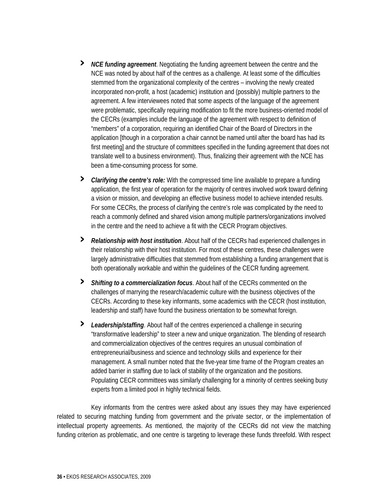- **›** *NCE funding agreement*. Negotiating the funding agreement between the centre and the NCE was noted by about half of the centres as a challenge. At least some of the difficulties stemmed from the organizational complexity of the centres – involving the newly created incorporated non-profit, a host (academic) institution and (possibly) multiple partners to the agreement. A few interviewees noted that some aspects of the language of the agreement were problematic, specifically requiring modification to fit the more business-oriented model of the CECRs (examples include the language of the agreement with respect to definition of "members" of a corporation, requiring an identified Chair of the Board of Directors in the application [though in a corporation a chair cannot be named until after the board has had its first meeting] and the structure of committees specified in the funding agreement that does not translate well to a business environment). Thus, finalizing their agreement with the NCE has been a time-consuming process for some.
- **›** *Clarifying the centre's role:* With the compressed time line available to prepare a funding application, the first year of operation for the majority of centres involved work toward defining a vision or mission, and developing an effective business model to achieve intended results. For some CECRs, the process of clarifying the centre's role was complicated by the need to reach a commonly defined and shared vision among multiple partners/organizations involved in the centre and the need to achieve a fit with the CECR Program objectives.
- **›** *Relationship with host institution*. About half of the CECRs had experienced challenges in their relationship with their host institution. For most of these centres, these challenges were largely administrative difficulties that stemmed from establishing a funding arrangement that is both operationally workable and within the guidelines of the CECR funding agreement.
- **›** *Shifting to a commercialization focus*. About half of the CECRs commented on the challenges of marrying the research/academic culture with the business objectives of the CECRs. According to these key informants, some academics with the CECR (host institution, leadership and staff) have found the business orientation to be somewhat foreign.
- **›** *Leadership/staffing*. About half of the centres experienced a challenge in securing "transformative leadership" to steer a new and unique organization. The blending of research and commercialization objectives of the centres requires an unusual combination of entrepreneurial/business and science and technology skills and experience for their management. A small number noted that the five-year time frame of the Program creates an added barrier in staffing due to lack of stability of the organization and the positions. Populating CECR committees was similarly challenging for a minority of centres seeking busy experts from a limited pool in highly technical fields.

 Key informants from the centres were asked about any issues they may have experienced related to securing matching funding from government and the private sector, or the implementation of intellectual property agreements. As mentioned, the majority of the CECRs did not view the matching funding criterion as problematic, and one centre is targeting to leverage these funds threefold. With respect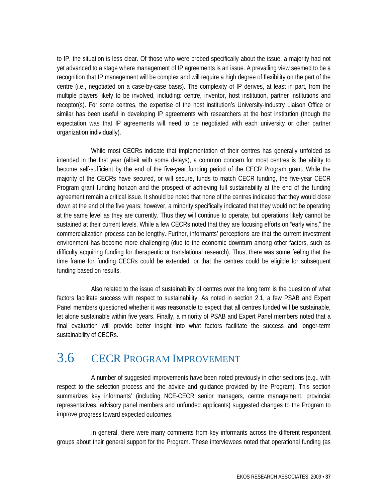to IP, the situation is less clear. Of those who were probed specifically about the issue, a majority had not yet advanced to a stage where management of IP agreements is an issue. A prevailing view seemed to be a recognition that IP management will be complex and will require a high degree of flexibility on the part of the centre (i.e., negotiated on a case-by-case basis). The complexity of IP derives, at least in part, from the multiple players likely to be involved, including: centre, inventor, host institution, partner institutions and receptor(s). For some centres, the expertise of the host institution's University-Industry Liaison Office or similar has been useful in developing IP agreements with researchers at the host institution (though the expectation was that IP agreements will need to be negotiated with each university or other partner organization individually).

 While most CECRs indicate that implementation of their centres has generally unfolded as intended in the first year (albeit with some delays), a common concern for most centres is the ability to become self-sufficient by the end of the five-year funding period of the CECR Program grant. While the majority of the CECRs have secured, or will secure, funds to match CECR funding, the five-year CECR Program grant funding horizon and the prospect of achieving full sustainability at the end of the funding agreement remain a critical issue. It should be noted that none of the centres indicated that they would close down at the end of the five years; however, a minority specifically indicated that they would not be operating at the same level as they are currently. Thus they will continue to operate, but operations likely cannot be sustained at their current levels. While a few CECRs noted that they are focusing efforts on "early wins," the commercialization process can be lengthy. Further, informants' perceptions are that the current investment environment has become more challenging (due to the economic downturn among other factors, such as difficulty acquiring funding for therapeutic or translational research). Thus, there was some feeling that the time frame for funding CECRs could be extended, or that the centres could be eligible for subsequent funding based on results.

 Also related to the issue of sustainability of centres over the long term is the question of what factors facilitate success with respect to sustainability. As noted in section 2.1, a few PSAB and Expert Panel members questioned whether it was reasonable to expect that all centres funded will be sustainable, let alone sustainable within five years. Finally, a minority of PSAB and Expert Panel members noted that a final evaluation will provide better insight into what factors facilitate the success and longer-term sustainability of CECRs.

### 3.6 CECR PROGRAM IMPROVEMENT

 A number of suggested improvements have been noted previously in other sections (e.g., with respect to the selection process and the advice and guidance provided by the Program). This section summarizes key informants' (including NCE-CECR senior managers, centre management, provincial representatives, advisory panel members and unfunded applicants) suggested changes to the Program to improve progress toward expected outcomes.

 In general, there were many comments from key informants across the different respondent groups about their general support for the Program. These interviewees noted that operational funding (as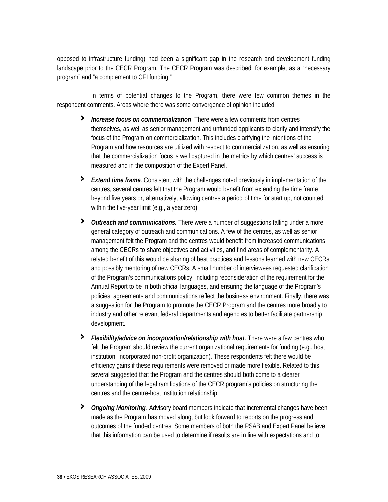opposed to infrastructure funding) had been a significant gap in the research and development funding landscape prior to the CECR Program. The CECR Program was described, for example, as a "necessary program" and "a complement to CFI funding."

 In terms of potential changes to the Program, there were few common themes in the respondent comments. Areas where there was some convergence of opinion included:

- **›** *Increase focus on commercialization*. There were a few comments from centres themselves, as well as senior management and unfunded applicants to clarify and intensify the focus of the Program on commercialization. This includes clarifying the intentions of the Program and how resources are utilized with respect to commercialization, as well as ensuring that the commercialization focus is well captured in the metrics by which centres' success is measured and in the composition of the Expert Panel.
- **›** *Extend time frame*. Consistent with the challenges noted previously in implementation of the centres, several centres felt that the Program would benefit from extending the time frame beyond five years or, alternatively, allowing centres a period of time for start up, not counted within the five-year limit (e.g., a year zero).
- **›** *Outreach and communications.* There were a number of suggestions falling under a more general category of outreach and communications. A few of the centres, as well as senior management felt the Program and the centres would benefit from increased communications among the CECRs to share objectives and activities, and find areas of complementarity. A related benefit of this would be sharing of best practices and lessons learned with new CECRs and possibly mentoring of new CECRs. A small number of interviewees requested clarification of the Program's communications policy, including reconsideration of the requirement for the Annual Report to be in both official languages, and ensuring the language of the Program's policies, agreements and communications reflect the business environment. Finally, there was a suggestion for the Program to promote the CECR Program and the centres more broadly to industry and other relevant federal departments and agencies to better facilitate partnership development.
- **›** *Flexibility/advice on incorporation/relationship with host*. There were a few centres who felt the Program should review the current organizational requirements for funding (e.g., host institution, incorporated non-profit organization). These respondents felt there would be efficiency gains if these requirements were removed or made more flexible. Related to this, several suggested that the Program and the centres should both come to a clearer understanding of the legal ramifications of the CECR program's policies on structuring the centres and the centre-host institution relationship.
- **›** *Ongoing Monitoring*. Advisory board members indicate that incremental changes have been made as the Program has moved along, but look forward to reports on the progress and outcomes of the funded centres. Some members of both the PSAB and Expert Panel believe that this information can be used to determine if results are in line with expectations and to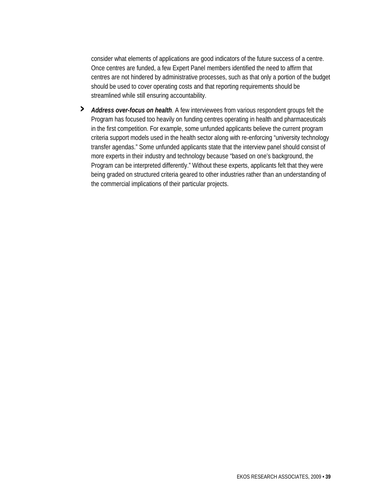consider what elements of applications are good indicators of the future success of a centre. Once centres are funded, a few Expert Panel members identified the need to affirm that centres are not hindered by administrative processes, such as that only a portion of the budget should be used to cover operating costs and that reporting requirements should be streamlined while still ensuring accountability.

**›** *Address over-focus on health*. A few interviewees from various respondent groups felt the Program has focused too heavily on funding centres operating in health and pharmaceuticals in the first competition. For example, some unfunded applicants believe the current program criteria support models used in the health sector along with re-enforcing "university technology transfer agendas." Some unfunded applicants state that the interview panel should consist of more experts in their industry and technology because "based on one's background, the Program can be interpreted differently." Without these experts, applicants felt that they were being graded on structured criteria geared to other industries rather than an understanding of the commercial implications of their particular projects.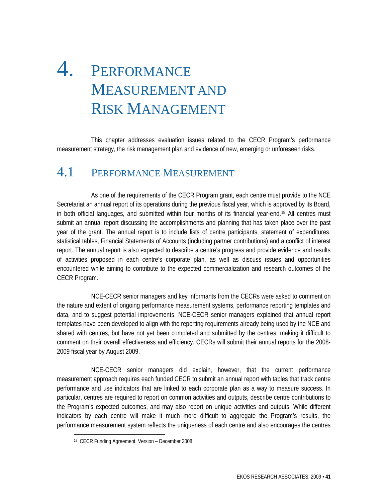# 4. PERFORMANCE MEASUREMENT AND RISK MANAGEMENT

 This chapter addresses evaluation issues related to the CECR Program's performance measurement strategy, the risk management plan and evidence of new, emerging or unforeseen risks.

### 4.1 PERFORMANCE MEASUREMENT

 As one of the requirements of the CECR Program grant, each centre must provide to the NCE Secretariat an annual report of its operations during the previous fiscal year, which is approved by its Board, in both official languages, and submitted within four months of its financial year-end.18 All centres must submit an annual report discussing the accomplishments and planning that has taken place over the past year of the grant. The annual report is to include lists of centre participants, statement of expenditures, statistical tables, Financial Statements of Accounts (including partner contributions) and a conflict of interest report. The annual report is also expected to describe a centre's progress and provide evidence and results of activities proposed in each centre's corporate plan, as well as discuss issues and opportunities encountered while aiming to contribute to the expected commercialization and research outcomes of the CECR Program.

 NCE-CECR senior managers and key informants from the CECRs were asked to comment on the nature and extent of ongoing performance measurement systems, performance reporting templates and data, and to suggest potential improvements. NCE-CECR senior managers explained that annual report templates have been developed to align with the reporting requirements already being used by the NCE and shared with centres, but have not yet been completed and submitted by the centres, making it difficult to comment on their overall effectiveness and efficiency. CECRs will submit their annual reports for the 2008- 2009 fiscal year by August 2009.

 NCE-CECR senior managers did explain, however, that the current performance measurement approach requires each funded CECR to submit an annual report with tables that track centre performance and use indicators that are linked to each corporate plan as a way to measure success. In particular, centres are required to report on common activities and outputs, describe centre contributions to the Program's expected outcomes, and may also report on unique activities and outputs. While different indicators by each centre will make it much more difficult to aggregate the Program's results, the performance measurement system reflects the uniqueness of each centre and also encourages the centres

<sup>18</sup> CECR Funding Agreement, Version – December 2008.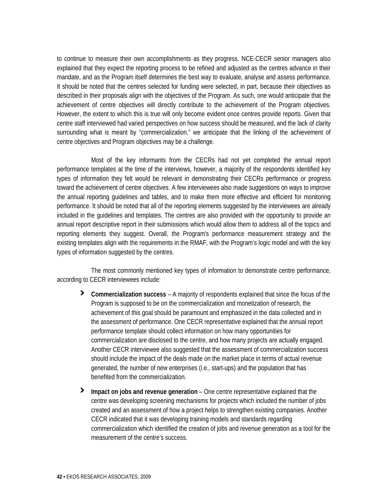to continue to measure their own accomplishments as they progress. NCE-CECR senior managers also explained that they expect the reporting process to be refined and adjusted as the centres advance in their mandate, and as the Program itself determines the best way to evaluate, analyse and assess performance. It should be noted that the centres selected for funding were selected, in part, because their objectives as described in their proposals align with the objectives of the Program. As such, one would anticipate that the achievement of centre objectives will directly contribute to the achievement of the Program objectives. However, the extent to which this is true will only become evident once centres provide reports. Given that centre staff interviewed had varied perspectives on how success should be measured, and the lack of clarity surrounding what is meant by "commercialization," we anticipate that the linking of the achievement of centre objectives and Program objectives may be a challenge.

 Most of the key informants from the CECRs had not yet completed the annual report performance templates at the time of the interviews, however, a majority of the respondents identified key types of information they felt would be relevant in demonstrating their CECRs performance or progress toward the achievement of centre objectives. A few interviewees also made suggestions on ways to improve the annual reporting guidelines and tables, and to make them more effective and efficient for monitoring performance. It should be noted that all of the reporting elements suggested by the interviewees are already included in the guidelines and templates. The centres are also provided with the opportunity to provide an annual report descriptive report in their submissions which would allow them to address all of the topics and reporting elements they suggest. Overall, the Program's performance measurement strategy and the existing templates align with the requirements in the RMAF, with the Program's logic model and with the key types of information suggested by the centres.

 The most commonly mentioned key types of information to demonstrate centre performance, according to CECR interviewees include:

- **› Commercialization success** A majority of respondents explained that since the focus of the Program is supposed to be on the commercialization and monetization of research, the achievement of this goal should be paramount and emphasized in the data collected and in the assessment of performance. One CECR representative explained that the annual report performance template should collect information on how many opportunities for commercialization are disclosed to the centre, and how many projects are actually engaged. Another CECR interviewee also suggested that the assessment of commercialization success should include the impact of the deals made on the market place in terms of actual revenue generated, the number of new enterprises (i.e., start-ups) and the population that has benefited from the commercialization.
- **› Impact on jobs and revenue generation** One centre representative explained that the centre was developing screening mechanisms for projects which included the number of jobs created and an assessment of how a project helps to strengthen existing companies. Another CECR indicated that it was developing training models and standards regarding commercialization which identified the creation of jobs and revenue generation as a tool for the measurement of the centre's success.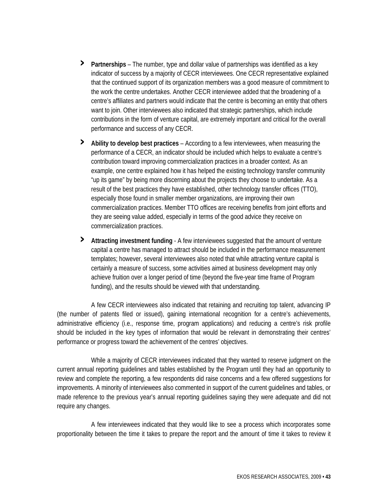- **› Partnerships** The number, type and dollar value of partnerships was identified as a key indicator of success by a majority of CECR interviewees. One CECR representative explained that the continued support of its organization members was a good measure of commitment to the work the centre undertakes. Another CECR interviewee added that the broadening of a centre's affiliates and partners would indicate that the centre is becoming an entity that others want to join. Other interviewees also indicated that strategic partnerships, which include contributions in the form of venture capital, are extremely important and critical for the overall performance and success of any CECR.
- **› Ability to develop best practices** According to a few interviewees, when measuring the performance of a CECR, an indicator should be included which helps to evaluate a centre's contribution toward improving commercialization practices in a broader context. As an example, one centre explained how it has helped the existing technology transfer community "up its game" by being more discerning about the projects they choose to undertake. As a result of the best practices they have established, other technology transfer offices (TTO), especially those found in smaller member organizations, are improving their own commercialization practices. Member TTO offices are receiving benefits from joint efforts and they are seeing value added, especially in terms of the good advice they receive on commercialization practices.
- **› Attracting investment funding** A few interviewees suggested that the amount of venture capital a centre has managed to attract should be included in the performance measurement templates; however, several interviewees also noted that while attracting venture capital is certainly a measure of success, some activities aimed at business development may only achieve fruition over a longer period of time (beyond the five-year time frame of Program funding), and the results should be viewed with that understanding.

 A few CECR interviewees also indicated that retaining and recruiting top talent, advancing IP (the number of patents filed or issued), gaining international recognition for a centre's achievements, administrative efficiency (i.e., response time, program applications) and reducing a centre's risk profile should be included in the key types of information that would be relevant in demonstrating their centres' performance or progress toward the achievement of the centres' objectives.

 While a majority of CECR interviewees indicated that they wanted to reserve judgment on the current annual reporting guidelines and tables established by the Program until they had an opportunity to review and complete the reporting, a few respondents did raise concerns and a few offered suggestions for improvements. A minority of interviewees also commented in support of the current guidelines and tables, or made reference to the previous year's annual reporting guidelines saying they were adequate and did not require any changes.

 A few interviewees indicated that they would like to see a process which incorporates some proportionality between the time it takes to prepare the report and the amount of time it takes to review it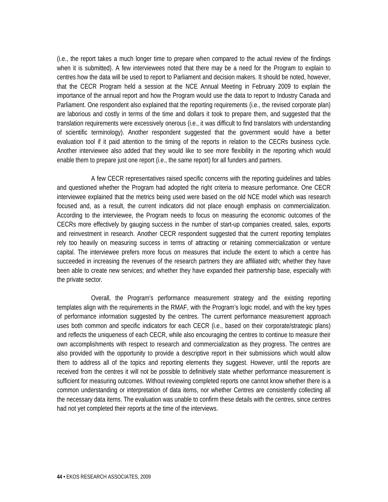(i.e., the report takes a much longer time to prepare when compared to the actual review of the findings when it is submitted). A few interviewees noted that there may be a need for the Program to explain to centres how the data will be used to report to Parliament and decision makers. It should be noted, however, that the CECR Program held a session at the NCE Annual Meeting in February 2009 to explain the importance of the annual report and how the Program would use the data to report to Industry Canada and Parliament. One respondent also explained that the reporting requirements (i.e., the revised corporate plan) are laborious and costly in terms of the time and dollars it took to prepare them, and suggested that the translation requirements were excessively onerous (i.e., it was difficult to find translators with understanding of scientific terminology). Another respondent suggested that the government would have a better evaluation tool if it paid attention to the timing of the reports in relation to the CECRs business cycle. Another interviewee also added that they would like to see more flexibility in the reporting which would enable them to prepare just one report (i.e., the same report) for all funders and partners.

 A few CECR representatives raised specific concerns with the reporting guidelines and tables and questioned whether the Program had adopted the right criteria to measure performance. One CECR interviewee explained that the metrics being used were based on the old NCE model which was research focused and, as a result, the current indicators did not place enough emphasis on commercialization. According to the interviewee, the Program needs to focus on measuring the economic outcomes of the CECRs more effectively by gauging success in the number of start-up companies created, sales, exports and reinvestment in research. Another CECR respondent suggested that the current reporting templates rely too heavily on measuring success in terms of attracting or retaining commercialization or venture capital. The interviewee prefers more focus on measures that include the extent to which a centre has succeeded in increasing the revenues of the research partners they are affiliated with; whether they have been able to create new services; and whether they have expanded their partnership base, especially with the private sector.

 Overall, the Program's performance measurement strategy and the existing reporting templates align with the requirements in the RMAF, with the Program's logic model, and with the key types of performance information suggested by the centres. The current performance measurement approach uses both common and specific indicators for each CECR (i.e., based on their corporate/strategic plans) and reflects the uniqueness of each CECR, while also encouraging the centres to continue to measure their own accomplishments with respect to research and commercialization as they progress. The centres are also provided with the opportunity to provide a descriptive report in their submissions which would allow them to address all of the topics and reporting elements they suggest. However, until the reports are received from the centres it will not be possible to definitively state whether performance measurement is sufficient for measuring outcomes. Without reviewing completed reports one cannot know whether there is a common understanding or interpretation of data items, nor whether Centres are consistently collecting all the necessary data items. The evaluation was unable to confirm these details with the centres, since centres had not yet completed their reports at the time of the interviews.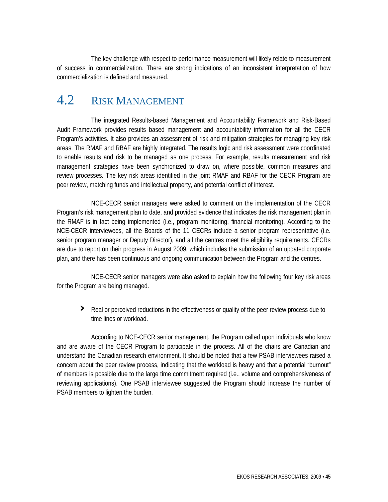The key challenge with respect to performance measurement will likely relate to measurement of success in commercialization. There are strong indications of an inconsistent interpretation of how commercialization is defined and measured.

## 4.2 RISK MANAGEMENT

 The integrated Results-based Management and Accountability Framework and Risk-Based Audit Framework provides results based management and accountability information for all the CECR Program's activities. It also provides an assessment of risk and mitigation strategies for managing key risk areas. The RMAF and RBAF are highly integrated. The results logic and risk assessment were coordinated to enable results and risk to be managed as one process. For example, results measurement and risk management strategies have been synchronized to draw on, where possible, common measures and review processes. The key risk areas identified in the joint RMAF and RBAF for the CECR Program are peer review, matching funds and intellectual property, and potential conflict of interest.

 NCE-CECR senior managers were asked to comment on the implementation of the CECR Program's risk management plan to date, and provided evidence that indicates the risk management plan in the RMAF is in fact being implemented (i.e., program monitoring, financial monitoring). According to the NCE-CECR interviewees, all the Boards of the 11 CECRs include a senior program representative (i.e. senior program manager or Deputy Director), and all the centres meet the eligibility requirements. CECRs are due to report on their progress in August 2009, which includes the submission of an updated corporate plan, and there has been continuous and ongoing communication between the Program and the centres.

 NCE-CECR senior managers were also asked to explain how the following four key risk areas for the Program are being managed.

**›** Real or perceived reductions in the effectiveness or quality of the peer review process due to time lines or workload.

 According to NCE-CECR senior management, the Program called upon individuals who know and are aware of the CECR Program to participate in the process. All of the chairs are Canadian and understand the Canadian research environment. It should be noted that a few PSAB interviewees raised a concern about the peer review process, indicating that the workload is heavy and that a potential "burnout" of members is possible due to the large time commitment required (i.e., volume and comprehensiveness of reviewing applications). One PSAB interviewee suggested the Program should increase the number of PSAB members to lighten the burden.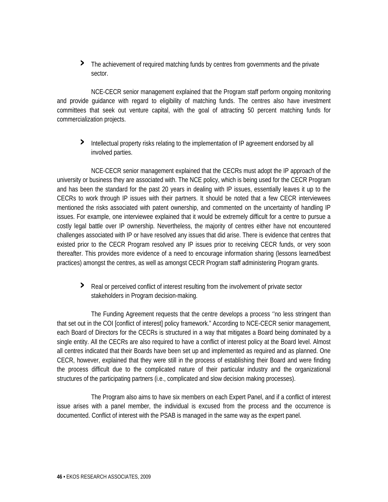**›** The achievement of required matching funds by centres from governments and the private sector.

 NCE-CECR senior management explained that the Program staff perform ongoing monitoring and provide guidance with regard to eligibility of matching funds. The centres also have investment committees that seek out venture capital, with the goal of attracting 50 percent matching funds for commercialization projects.

**›** Intellectual property risks relating to the implementation of IP agreement endorsed by all involved parties.

 NCE-CECR senior management explained that the CECRs must adopt the IP approach of the university or business they are associated with. The NCE policy, which is being used for the CECR Program and has been the standard for the past 20 years in dealing with IP issues, essentially leaves it up to the CECRs to work through IP issues with their partners. It should be noted that a few CECR interviewees mentioned the risks associated with patent ownership, and commented on the uncertainty of handling IP issues. For example, one interviewee explained that it would be extremely difficult for a centre to pursue a costly legal battle over IP ownership. Nevertheless, the majority of centres either have not encountered challenges associated with IP or have resolved any issues that did arise. There is evidence that centres that existed prior to the CECR Program resolved any IP issues prior to receiving CECR funds, or very soon thereafter. This provides more evidence of a need to encourage information sharing (lessons learned/best practices) amongst the centres, as well as amongst CECR Program staff administering Program grants.

**›** Real or perceived conflict of interest resulting from the involvement of private sector stakeholders in Program decision-making.

 The Funding Agreement requests that the centre develops a process ''no less stringent than that set out in the COI [conflict of interest] policy framework." According to NCE-CECR senior management, each Board of Directors for the CECRs is structured in a way that mitigates a Board being dominated by a single entity. All the CECRs are also required to have a conflict of interest policy at the Board level. Almost all centres indicated that their Boards have been set up and implemented as required and as planned. One CECR, however, explained that they were still in the process of establishing their Board and were finding the process difficult due to the complicated nature of their particular industry and the organizational structures of the participating partners (i.e., complicated and slow decision making processes).

 The Program also aims to have six members on each Expert Panel, and if a conflict of interest issue arises with a panel member, the individual is excused from the process and the occurrence is documented. Conflict of interest with the PSAB is managed in the same way as the expert panel.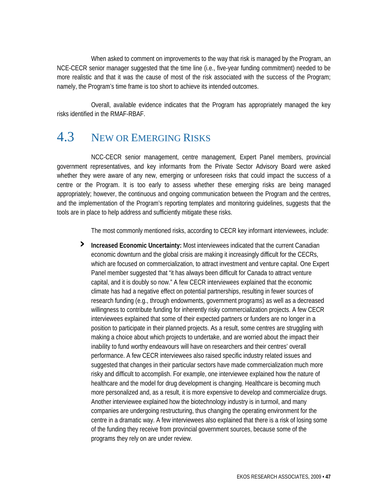When asked to comment on improvements to the way that risk is managed by the Program, an NCE-CECR senior manager suggested that the time line (i.e., five-year funding commitment) needed to be more realistic and that it was the cause of most of the risk associated with the success of the Program; namely, the Program's time frame is too short to achieve its intended outcomes.

 Overall, available evidence indicates that the Program has appropriately managed the key risks identified in the RMAF-RBAF.

## 4.3 NEW OR EMERGING RISKS

 NCC-CECR senior management, centre management, Expert Panel members, provincial government representatives, and key informants from the Private Sector Advisory Board were asked whether they were aware of any new, emerging or unforeseen risks that could impact the success of a centre or the Program. It is too early to assess whether these emerging risks are being managed appropriately; however, the continuous and ongoing communication between the Program and the centres, and the implementation of the Program's reporting templates and monitoring guidelines, suggests that the tools are in place to help address and sufficiently mitigate these risks.

The most commonly mentioned risks, according to CECR key informant interviewees, include:

**› Increased Economic Uncertainty:** Most interviewees indicated that the current Canadian economic downturn and the global crisis are making it increasingly difficult for the CECRs, which are focused on commercialization, to attract investment and venture capital. One Expert Panel member suggested that "it has always been difficult for Canada to attract venture capital, and it is doubly so now." A few CECR interviewees explained that the economic climate has had a negative effect on potential partnerships, resulting in fewer sources of research funding (e.g., through endowments, government programs) as well as a decreased willingness to contribute funding for inherently risky commercialization projects. A few CECR interviewees explained that some of their expected partners or funders are no longer in a position to participate in their planned projects. As a result, some centres are struggling with making a choice about which projects to undertake, and are worried about the impact their inability to fund worthy endeavours will have on researchers and their centres' overall performance. A few CECR interviewees also raised specific industry related issues and suggested that changes in their particular sectors have made commercialization much more risky and difficult to accomplish. For example, one interviewee explained how the nature of healthcare and the model for drug development is changing. Healthcare is becoming much more personalized and, as a result, it is more expensive to develop and commercialize drugs. Another interviewee explained how the biotechnology industry is in turmoil, and many companies are undergoing restructuring, thus changing the operating environment for the centre in a dramatic way. A few interviewees also explained that there is a risk of losing some of the funding they receive from provincial government sources, because some of the programs they rely on are under review.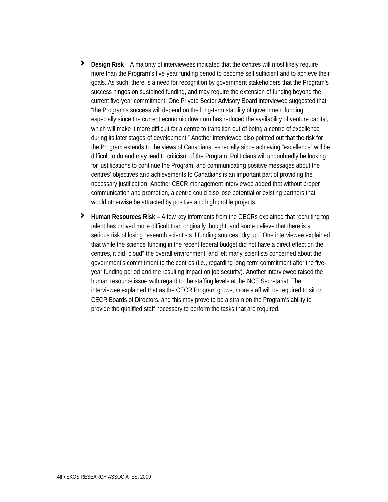- **› Design Risk** A majority of interviewees indicated that the centres will most likely require more than the Program's five-year funding period to become self sufficient and to achieve their goals. As such, there is a need for recognition by government stakeholders that the Program's success hinges on sustained funding, and may require the extension of funding beyond the current five-year commitment. One Private Sector Advisory Board interviewee suggested that "the Program's success will depend on the long-term stability of government funding, especially since the current economic downturn has reduced the availability of venture capital, which will make it more difficult for a centre to transition out of being a centre of excellence during its later stages of development." Another interviewee also pointed out that the risk for the Program extends to the views of Canadians, especially since achieving "excellence" will be difficult to do and may lead to criticism of the Program. Politicians will undoubtedly be looking for justifications to continue the Program, and communicating positive messages about the centres' objectives and achievements to Canadians is an important part of providing the necessary justification. Another CECR management interviewee added that without proper communication and promotion, a centre could also lose potential or existing partners that would otherwise be attracted by positive and high profile projects.
- **› Human Resources Risk** A few key informants from the CECRs explained that recruiting top talent has proved more difficult than originally thought, and some believe that there is a serious risk of losing research scientists if funding sources "dry up." One interviewee explained that while the science funding in the recent federal budget did not have a direct effect on the centres, it did "cloud" the overall environment, and left many scientists concerned about the government's commitment to the centres (i.e., regarding long-term commitment after the fiveyear funding period and the resulting impact on job security). Another interviewee raised the human resource issue with regard to the staffing levels at the NCE Secretariat. The interviewee explained that as the CECR Program grows, more staff will be required to sit on CECR Boards of Directors, and this may prove to be a strain on the Program's ability to provide the qualified staff necessary to perform the tasks that are required.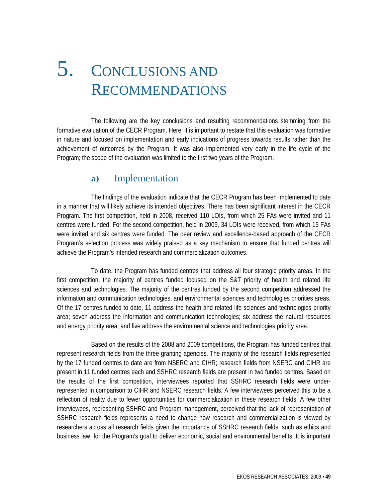# 5. CONCLUSIONS AND RECOMMENDATIONS

 The following are the key conclusions and resulting recommendations stemming from the formative evaluation of the CECR Program. Here, it is important to restate that this evaluation was formative in nature and focused on implementation and early indications of progress towards results rather than the achievement of outcomes by the Program. It was also implemented very early in the life cycle of the Program; the scope of the evaluation was limited to the first two years of the Program.

#### **a)** Implementation

 The findings of the evaluation indicate that the CECR Program has been implemented to date in a manner that will likely achieve its intended objectives. There has been significant interest in the CECR Program. The first competition, held in 2008, received 110 LOIs, from which 25 FAs were invited and 11 centres were funded. For the second competition, held in 2009, 34 LOIs were received, from which 15 FAs were invited and six centres were funded. The peer review and excellence-based approach of the CECR Program's selection process was widely praised as a key mechanism to ensure that funded centres will achieve the Program's intended research and commercialization outcomes.

 To date, the Program has funded centres that address all four strategic priority areas. In the first competition, the majority of centres funded focused on the S&T priority of health and related life sciences and technologies. The majority of the centres funded by the second competition addressed the information and communication technologies, and environmental sciences and technologies priorities areas. Of the 17 centres funded to date, 11 address the health and related life sciences and technologies priority area; seven address the information and communication technologies; six address the natural resources and energy priority area; and five address the environmental science and technologies priority area.

 Based on the results of the 2008 and 2009 competitions, the Program has funded centres that represent research fields from the three granting agencies. The majority of the research fields represented by the 17 funded centres to date are from NSERC and CIHR; research fields from NSERC and CIHR are present in 11 funded centres each and SSHRC research fields are present in two funded centres. Based on the results of the first competition, interviewees reported that SSHRC research fields were underrepresented in comparison to CIHR and NSERC research fields. A few interviewees perceived this to be a reflection of reality due to fewer opportunities for commercialization in these research fields. A few other interviewees, representing SSHRC and Program management, perceived that the lack of representation of SSHRC research fields represents a need to change how research and commercialization is viewed by researchers across all research fields given the importance of SSHRC research fields, such as ethics and business law, for the Program's goal to deliver economic, social and environmental benefits. It is important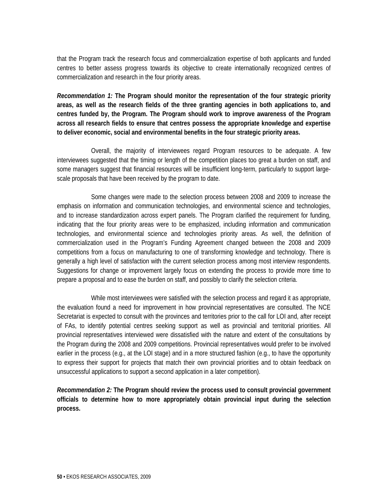that the Program track the research focus and commercialization expertise of both applicants and funded centres to better assess progress towards its objective to create internationally recognized centres of commercialization and research in the four priority areas.

*Recommendation 1:* **The Program should monitor the representation of the four strategic priority areas, as well as the research fields of the three granting agencies in both applications to, and centres funded by, the Program. The Program should work to improve awareness of the Program across all research fields to ensure that centres possess the appropriate knowledge and expertise to deliver economic, social and environmental benefits in the four strategic priority areas.** 

 Overall, the majority of interviewees regard Program resources to be adequate. A few interviewees suggested that the timing or length of the competition places too great a burden on staff, and some managers suggest that financial resources will be insufficient long-term, particularly to support largescale proposals that have been received by the program to date.

 Some changes were made to the selection process between 2008 and 2009 to increase the emphasis on information and communication technologies, and environmental science and technologies, and to increase standardization across expert panels. The Program clarified the requirement for funding, indicating that the four priority areas were to be emphasized, including information and communication technologies, and environmental science and technologies priority areas. As well, the definition of commercialization used in the Program's Funding Agreement changed between the 2008 and 2009 competitions from a focus on manufacturing to one of transforming knowledge and technology. There is generally a high level of satisfaction with the current selection process among most interview respondents. Suggestions for change or improvement largely focus on extending the process to provide more time to prepare a proposal and to ease the burden on staff, and possibly to clarify the selection criteria.

 While most interviewees were satisfied with the selection process and regard it as appropriate, the evaluation found a need for improvement in how provincial representatives are consulted. The NCE Secretariat is expected to consult with the provinces and territories prior to the call for LOI and, after receipt of FAs, to identify potential centres seeking support as well as provincial and territorial priorities. All provincial representatives interviewed were dissatisfied with the nature and extent of the consultations by the Program during the 2008 and 2009 competitions. Provincial representatives would prefer to be involved earlier in the process (e.g., at the LOI stage) and in a more structured fashion (e.g., to have the opportunity to express their support for projects that match their own provincial priorities and to obtain feedback on unsuccessful applications to support a second application in a later competition).

*Recommendation 2:* **The Program should review the process used to consult provincial government officials to determine how to more appropriately obtain provincial input during the selection process.**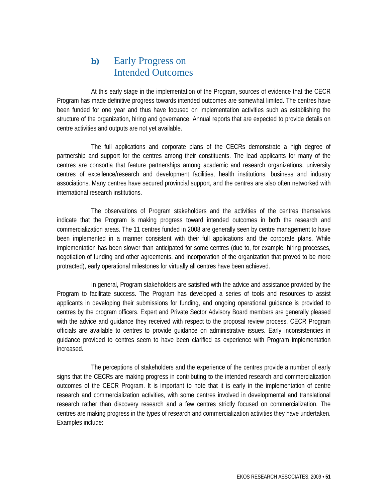#### **b)** Early Progress on Intended Outcomes

 At this early stage in the implementation of the Program, sources of evidence that the CECR Program has made definitive progress towards intended outcomes are somewhat limited. The centres have been funded for one year and thus have focused on implementation activities such as establishing the structure of the organization, hiring and governance. Annual reports that are expected to provide details on centre activities and outputs are not yet available.

 The full applications and corporate plans of the CECRs demonstrate a high degree of partnership and support for the centres among their constituents. The lead applicants for many of the centres are consortia that feature partnerships among academic and research organizations, university centres of excellence/research and development facilities, health institutions, business and industry associations. Many centres have secured provincial support, and the centres are also often networked with international research institutions.

 The observations of Program stakeholders and the activities of the centres themselves indicate that the Program is making progress toward intended outcomes in both the research and commercialization areas. The 11 centres funded in 2008 are generally seen by centre management to have been implemented in a manner consistent with their full applications and the corporate plans. While implementation has been slower than anticipated for some centres (due to, for example, hiring processes, negotiation of funding and other agreements, and incorporation of the organization that proved to be more protracted), early operational milestones for virtually all centres have been achieved.

 In general, Program stakeholders are satisfied with the advice and assistance provided by the Program to facilitate success. The Program has developed a series of tools and resources to assist applicants in developing their submissions for funding, and ongoing operational guidance is provided to centres by the program officers. Expert and Private Sector Advisory Board members are generally pleased with the advice and guidance they received with respect to the proposal review process. CECR Program officials are available to centres to provide guidance on administrative issues. Early inconsistencies in guidance provided to centres seem to have been clarified as experience with Program implementation increased.

 The perceptions of stakeholders and the experience of the centres provide a number of early signs that the CECRs are making progress in contributing to the intended research and commercialization outcomes of the CECR Program. It is important to note that it is early in the implementation of centre research and commercialization activities, with some centres involved in developmental and translational research rather than discovery research and a few centres strictly focused on commercialization. The centres are making progress in the types of research and commercialization activities they have undertaken. Examples include: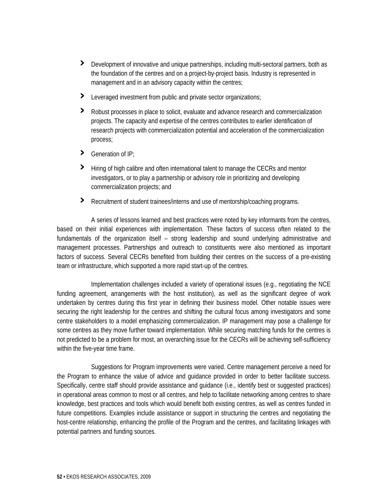- **›** Development of innovative and unique partnerships, including multi-sectoral partners, both as the foundation of the centres and on a project-by-project basis. Industry is represented in management and in an advisory capacity within the centres;
- **›** Leveraged investment from public and private sector organizations;
- **›** Robust processes in place to solicit, evaluate and advance research and commercialization projects. The capacity and expertise of the centres contributes to earlier identification of research projects with commercialization potential and acceleration of the commercialization process;
- **›** Generation of IP;
- **›** Hiring of high calibre and often international talent to manage the CECRs and mentor investigators, or to play a partnership or advisory role in prioritizing and developing commercialization projects; and
- **›** Recruitment of student trainees/interns and use of mentorship/coaching programs.

 A series of lessons learned and best practices were noted by key informants from the centres, based on their initial experiences with implementation. These factors of success often related to the fundamentals of the organization itself – strong leadership and sound underlying administrative and management processes. Partnerships and outreach to constituents were also mentioned as important factors of success. Several CECRs benefited from building their centres on the success of a pre-existing team or infrastructure, which supported a more rapid start-up of the centres.

 Implementation challenges included a variety of operational issues (e.g., negotiating the NCE funding agreement, arrangements with the host institution), as well as the significant degree of work undertaken by centres during this first year in defining their business model. Other notable issues were securing the right leadership for the centres and shifting the cultural focus among investigators and some centre stakeholders to a model emphasizing commercialization. IP management may pose a challenge for some centres as they move further toward implementation. While securing matching funds for the centres is not predicted to be a problem for most, an overarching issue for the CECRs will be achieving self-sufficiency within the five-year time frame.

 Suggestions for Program improvements were varied. Centre management perceive a need for the Program to enhance the value of advice and guidance provided in order to better facilitate success. Specifically, centre staff should provide assistance and guidance (i.e., identify best or suggested practices) in operational areas common to most or all centres, and help to facilitate networking among centres to share knowledge, best practices and tools which would benefit both existing centres, as well as centres funded in future competitions. Examples include assistance or support in structuring the centres and negotiating the host-centre relationship, enhancing the profile of the Program and the centres, and facilitating linkages with potential partners and funding sources.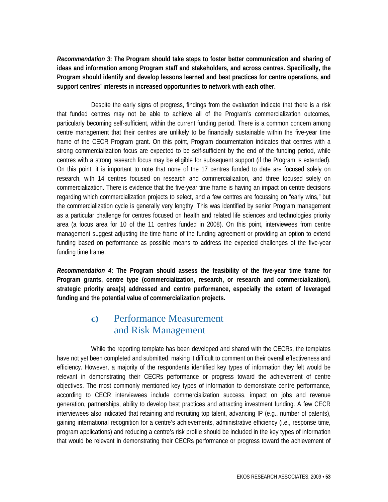*Recommendation 3***: The Program should take steps to foster better communication and sharing of ideas and information among Program staff and stakeholders, and across centres. Specifically, the Program should identify and develop lessons learned and best practices for centre operations, and support centres' interests in increased opportunities to network with each other.** 

 Despite the early signs of progress, findings from the evaluation indicate that there is a risk that funded centres may not be able to achieve all of the Program's commercialization outcomes, particularly becoming self-sufficient, within the current funding period. There is a common concern among centre management that their centres are unlikely to be financially sustainable within the five-year time frame of the CECR Program grant. On this point, Program documentation indicates that centres with a strong commercialization focus are expected to be self-sufficient by the end of the funding period, while centres with a strong research focus may be eligible for subsequent support (if the Program is extended). On this point, it is important to note that none of the 17 centres funded to date are focused solely on research, with 14 centres focused on research and commercialization, and three focused solely on commercialization. There is evidence that the five-year time frame is having an impact on centre decisions regarding which commercialization projects to select, and a few centres are focussing on "early wins," but the commercialization cycle is generally very lengthy. This was identified by senior Program management as a particular challenge for centres focused on health and related life sciences and technologies priority area (a focus area for 10 of the 11 centres funded in 2008). On this point, interviewees from centre management suggest adjusting the time frame of the funding agreement or providing an option to extend funding based on performance as possible means to address the expected challenges of the five-year funding time frame.

*Recommendation 4***: The Program should assess the feasibility of the five-year time frame for Program grants, centre type (commercialization, research, or research and commercialization), strategic priority area(s) addressed and centre performance, especially the extent of leveraged funding and the potential value of commercialization projects.** 

#### **c)** Performance Measurement and Risk Management

 While the reporting template has been developed and shared with the CECRs, the templates have not yet been completed and submitted, making it difficult to comment on their overall effectiveness and efficiency. However, a majority of the respondents identified key types of information they felt would be relevant in demonstrating their CECRs performance or progress toward the achievement of centre objectives. The most commonly mentioned key types of information to demonstrate centre performance, according to CECR interviewees include commercialization success, impact on jobs and revenue generation, partnerships, ability to develop best practices and attracting investment funding. A few CECR interviewees also indicated that retaining and recruiting top talent, advancing IP (e.g., number of patents), gaining international recognition for a centre's achievements, administrative efficiency (i.e., response time, program applications) and reducing a centre's risk profile should be included in the key types of information that would be relevant in demonstrating their CECRs performance or progress toward the achievement of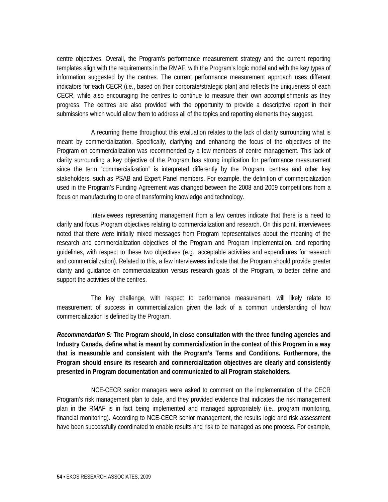centre objectives. Overall, the Program's performance measurement strategy and the current reporting templates align with the requirements in the RMAF, with the Program's logic model and with the key types of information suggested by the centres. The current performance measurement approach uses different indicators for each CECR (i.e., based on their corporate/strategic plan) and reflects the uniqueness of each CECR, while also encouraging the centres to continue to measure their own accomplishments as they progress. The centres are also provided with the opportunity to provide a descriptive report in their submissions which would allow them to address all of the topics and reporting elements they suggest.

 A recurring theme throughout this evaluation relates to the lack of clarity surrounding what is meant by commercialization. Specifically, clarifying and enhancing the focus of the objectives of the Program on commercialization was recommended by a few members of centre management. This lack of clarity surrounding a key objective of the Program has strong implication for performance measurement since the term "commercialization" is interpreted differently by the Program, centres and other key stakeholders, such as PSAB and Expert Panel members. For example, the definition of commercialization used in the Program's Funding Agreement was changed between the 2008 and 2009 competitions from a focus on manufacturing to one of transforming knowledge and technology.

 Interviewees representing management from a few centres indicate that there is a need to clarify and focus Program objectives relating to commercialization and research. On this point, interviewees noted that there were initially mixed messages from Program representatives about the meaning of the research and commercialization objectives of the Program and Program implementation, and reporting guidelines, with respect to these two objectives (e.g., acceptable activities and expenditures for research and commercialization). Related to this, a few interviewees indicate that the Program should provide greater clarity and guidance on commercialization versus research goals of the Program, to better define and support the activities of the centres.

 The key challenge, with respect to performance measurement, will likely relate to measurement of success in commercialization given the lack of a common understanding of how commercialization is defined by the Program.

*Recommendation 5:* **The Program should, in close consultation with the three funding agencies and Industry Canada, define what is meant by commercialization in the context of this Program in a way that is measurable and consistent with the Program's Terms and Conditions. Furthermore, the Program should ensure its research and commercialization objectives are clearly and consistently presented in Program documentation and communicated to all Program stakeholders.** 

 NCE-CECR senior managers were asked to comment on the implementation of the CECR Program's risk management plan to date, and they provided evidence that indicates the risk management plan in the RMAF is in fact being implemented and managed appropriately (i.e., program monitoring, financial monitoring). According to NCE-CECR senior management, the results logic and risk assessment have been successfully coordinated to enable results and risk to be managed as one process. For example,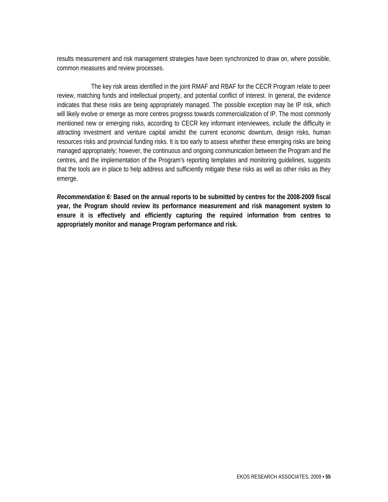results measurement and risk management strategies have been synchronized to draw on, where possible, common measures and review processes.

 The key risk areas identified in the joint RMAF and RBAF for the CECR Program relate to peer review, matching funds and intellectual property, and potential conflict of interest. In general, the evidence indicates that these risks are being appropriately managed. The possible exception may be IP risk, which will likely evolve or emerge as more centres progress towards commercialization of IP. The most commonly mentioned new or emerging risks, according to CECR key informant interviewees, include the difficulty in attracting investment and venture capital amidst the current economic downturn, design risks, human resources risks and provincial funding risks. It is too early to assess whether these emerging risks are being managed appropriately; however, the continuous and ongoing communication between the Program and the centres, and the implementation of the Program's reporting templates and monitoring guidelines, suggests that the tools are in place to help address and sufficiently mitigate these risks as well as other risks as they emerge.

*Recommendation 6:* **Based on the annual reports to be submitted by centres for the 2008-2009 fiscal year, the Program should review its performance measurement and risk management system to ensure it is effectively and efficiently capturing the required information from centres to appropriately monitor and manage Program performance and risk.**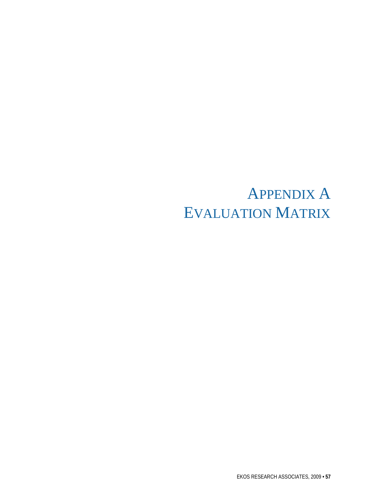## APPENDIX A EVALUATION MATRIX

EKOS RESEARCH ASSOCIATES, 2009 **• 57**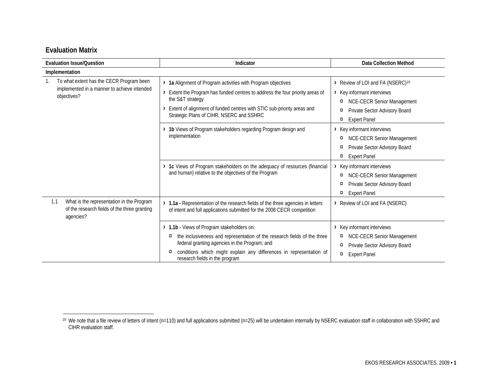# **Evaluation Matrix**

| <b>Evaluation Issue/Question</b>                                                                              | Indicator                                                                                                                                                                                                                                                                                                                                                                | <b>Data Collection Method</b>                                                                                                                                                                                                                                                                                             |
|---------------------------------------------------------------------------------------------------------------|--------------------------------------------------------------------------------------------------------------------------------------------------------------------------------------------------------------------------------------------------------------------------------------------------------------------------------------------------------------------------|---------------------------------------------------------------------------------------------------------------------------------------------------------------------------------------------------------------------------------------------------------------------------------------------------------------------------|
| Implementation                                                                                                |                                                                                                                                                                                                                                                                                                                                                                          |                                                                                                                                                                                                                                                                                                                           |
| To what extent has the CECR Program been<br>implemented in a manner to achieve intended<br>objectives?        | > 1a Alignment of Program activities with Program objectives<br>Extent the Program has funded centres to address the four priority areas of<br>the S&T strategy<br>Extent of alignment of funded centres with STIC sub-priority areas and<br>Strategic Plans of CIHR, NSERC and SSHRC<br>1b Views of Program stakeholders regarding Program design and<br>implementation | > Review of LOI and FA (NSERC) <sup>19</sup><br>> Key informant interviews<br><b>NCE-CECR Senior Management</b><br>$\alpha$<br>Private Sector Advisory Board<br>¤<br><b>Expert Panel</b><br>$\alpha$<br>> Key informant interviews<br><b>NCE-CECR Senior Management</b><br>$\alpha$<br>Private Sector Advisory Board<br>¤ |
|                                                                                                               | 1c Views of Program stakeholders on the adequacy of resources (financial<br>and human) relative to the objectives of the Program                                                                                                                                                                                                                                         | <b>Expert Panel</b><br>¤<br>Key informant interviews<br><b>NCE-CECR Senior Management</b><br>¤<br>Private Sector Advisory Board<br>¤<br><b>Expert Panel</b><br>$\alpha$                                                                                                                                                   |
| What is the representation in the Program<br>1.1<br>of the research fields of the three granting<br>agencies? | 1.1a - Representation of the research fields of the three agencies in letters<br>of intent and full applications submitted for the 2008 CECR competition                                                                                                                                                                                                                 | > Review of LOI and FA (NSERC)                                                                                                                                                                                                                                                                                            |
|                                                                                                               | 1.1b - Views of Program stakeholders on:<br>the inclusiveness and representation of the research fields of the three<br>¤<br>federal granting agencies in the Program; and<br>conditions which might explain any differences in representation of<br>¤<br>research fields in the program                                                                                 | > Key informant interviews<br><b>NCE-CECR Senior Management</b><br>$\alpha$<br>Private Sector Advisory Board<br>¤<br>$\alpha$<br><b>Expert Panel</b>                                                                                                                                                                      |

<sup>&</sup>lt;sup>19</sup> We note that a file review of letters of intent (n=110) and full applications submitted (n=25) will be undertaken internally by NSERC evaluation staff in collaboration with SSHRC and CIHR evaluation staff.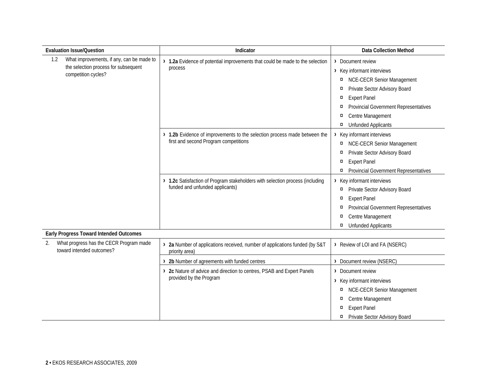| <b>Evaluation Issue/Question</b>                                                                                | Indicator                                                                                                          | <b>Data Collection Method</b>                                                                                                                                                                                                                                                                             |
|-----------------------------------------------------------------------------------------------------------------|--------------------------------------------------------------------------------------------------------------------|-----------------------------------------------------------------------------------------------------------------------------------------------------------------------------------------------------------------------------------------------------------------------------------------------------------|
| What improvements, if any, can be made to<br>1.2<br>the selection process for subsequent<br>competition cycles? | > 1.2a Evidence of potential improvements that could be made to the selection<br>process                           | > Document review<br>> Key informant interviews<br><b>NCE-CECR Senior Management</b><br>$\alpha$<br>Private Sector Advisory Board<br>$\alpha$<br><b>Expert Panel</b><br>$\alpha$<br><b>Provincial Government Representatives</b><br>$\alpha$<br>Centre Management<br>¤<br><b>Unfunded Applicants</b><br>¤ |
|                                                                                                                 | > 1.2b Evidence of improvements to the selection process made between the<br>first and second Program competitions | > Key informant interviews<br><b>NCE-CECR Senior Management</b><br>$\alpha$<br>Private Sector Advisory Board<br>$\alpha$<br><b>Expert Panel</b><br>$\alpha$<br><b>Provincial Government Representatives</b><br>$\alpha$                                                                                   |
|                                                                                                                 | > 1.2c Satisfaction of Program stakeholders with selection process (including<br>funded and unfunded applicants)   | > Key informant interviews<br>Private Sector Advisory Board<br>$\alpha$<br><b>Expert Panel</b><br>$\alpha$<br><b>Provincial Government Representatives</b><br>¤<br>Centre Management<br>$\alpha$<br><b>Unfunded Applicants</b><br>¤                                                                       |
| Early Progress Toward Intended Outcomes                                                                         |                                                                                                                    |                                                                                                                                                                                                                                                                                                           |
| What progress has the CECR Program made<br>2.<br>toward intended outcomes?                                      | > 2a Number of applications received, number of applications funded (by S&T<br>priority area)                      | > Review of LOI and FA (NSERC)                                                                                                                                                                                                                                                                            |
|                                                                                                                 | > 2b Number of agreements with funded centres                                                                      | > Document review (NSERC)                                                                                                                                                                                                                                                                                 |
|                                                                                                                 | > 2c Nature of advice and direction to centres, PSAB and Expert Panels<br>provided by the Program                  | > Document review<br>> Key informant interviews<br><b>NCE-CECR Senior Management</b><br>$\alpha$<br>Centre Management<br>$\alpha$<br><b>Expert Panel</b><br>¤<br>Private Sector Advisory Board<br>¤                                                                                                       |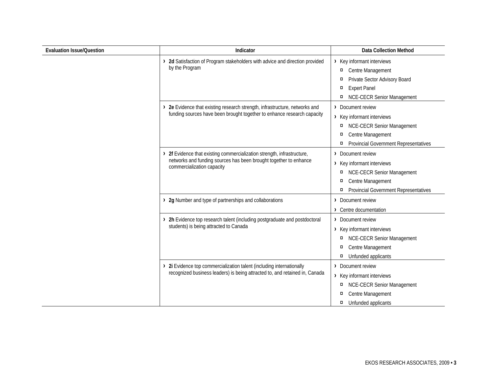| <b>Evaluation Issue/Question</b> | Indicator                                                                                                                                                                  | <b>Data Collection Method</b>                                                                                                                                            |
|----------------------------------|----------------------------------------------------------------------------------------------------------------------------------------------------------------------------|--------------------------------------------------------------------------------------------------------------------------------------------------------------------------|
|                                  | > 2d Satisfaction of Program stakeholders with advice and direction provided<br>by the Program                                                                             | > Key informant interviews<br>Centre Management<br>$\alpha$<br>Private Sector Advisory Board<br>¤<br><b>Expert Panel</b><br>¤<br><b>NCE-CECR Senior Management</b><br>¤  |
|                                  | > 2e Evidence that existing research strength, infrastructure, networks and<br>funding sources have been brought together to enhance research capacity                     | > Document review<br>> Key informant interviews<br><b>NCE-CECR Senior Management</b><br>¤<br>Centre Management<br>¤<br><b>Provincial Government Representatives</b><br>¤ |
|                                  | > 2f Evidence that existing commercialization strength, infrastructure,<br>networks and funding sources has been brought together to enhance<br>commercialization capacity | > Document review<br>> Key informant interviews<br><b>NCE-CECR Senior Management</b><br>¤<br>Centre Management<br>¤<br><b>Provincial Government Representatives</b><br>¤ |
|                                  | > 2g Number and type of partnerships and collaborations                                                                                                                    | > Document review<br>> Centre documentation                                                                                                                              |
|                                  | > 2h Evidence top research talent (including postgraduate and postdoctoral<br>students) is being attracted to Canada                                                       | > Document review<br>> Key informant interviews<br><b>NCE-CECR Senior Management</b><br>¤<br>Centre Management<br>¤<br>Unfunded applicants<br>$\alpha$                   |
|                                  | > 2i Evidence top commercialization talent (including internationally<br>recognized business leaders) is being attracted to, and retained in, Canada                       | > Document review<br>> Key informant interviews<br><b>NCE-CECR Senior Management</b><br>¤<br>Centre Management<br>¤<br>Unfunded applicants<br>¤                          |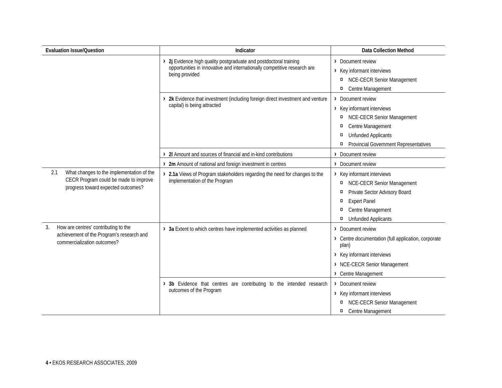| <b>Evaluation Issue/Question</b>                                                                                                | Indicator                                                                                                                                                     | <b>Data Collection Method</b>                                                                                                                                                                        |
|---------------------------------------------------------------------------------------------------------------------------------|---------------------------------------------------------------------------------------------------------------------------------------------------------------|------------------------------------------------------------------------------------------------------------------------------------------------------------------------------------------------------|
|                                                                                                                                 | 2j Evidence high quality postgraduate and postdoctoral training<br>opportunities in innovative and internationally competitive research are<br>being provided | > Document review<br>> Key informant interviews<br><b>NCE-CECR Senior Management</b><br>¤<br>Centre Management<br>$\alpha$                                                                           |
|                                                                                                                                 | > 2k Evidence that investment (including foreign direct investment and venture<br>capital) is being attracted                                                 | > Document review<br>> Key informant interviews<br>NCE-CECR Senior Management<br>¤<br>Centre Management<br>¤<br><b>Unfunded Applicants</b><br>¤<br><b>Provincial Government Representatives</b><br>¤ |
|                                                                                                                                 | 2I Amount and sources of financial and in-kind contributions<br>⋋                                                                                             | Document review<br>$\rightarrow$                                                                                                                                                                     |
|                                                                                                                                 | > 2m Amount of national and foreign investment in centres                                                                                                     | > Document review                                                                                                                                                                                    |
| What changes to the implementation of the<br>2.1<br>CECR Program could be made to improve<br>progress toward expected outcomes? | 2.1a Views of Program stakeholders regarding the need for changes to the<br>implementation of the Program                                                     | > Key informant interviews<br>NCE-CECR Senior Management<br>¤<br>Private Sector Advisory Board<br>¤<br><b>Expert Panel</b><br>¤<br>Centre Management<br>¤<br><b>Unfunded Applicants</b><br>¤         |
| How are centres' contributing to the<br>3.<br>achievement of the Program's research and<br>commercialization outcomes?          | > 3a Extent to which centres have implemented activities as planned                                                                                           | > Document review<br>> Centre documentation (full application, corporate<br>plan)<br>> Key informant interviews<br>> NCE-CECR Senior Management<br>> Centre Management                               |
|                                                                                                                                 | 3b Evidence that centres are contributing to the intended research<br>outcomes of the Program                                                                 | > Document review<br>> Key informant interviews<br><b>NCE-CECR Senior Management</b><br>¤<br>Centre Management<br>¤                                                                                  |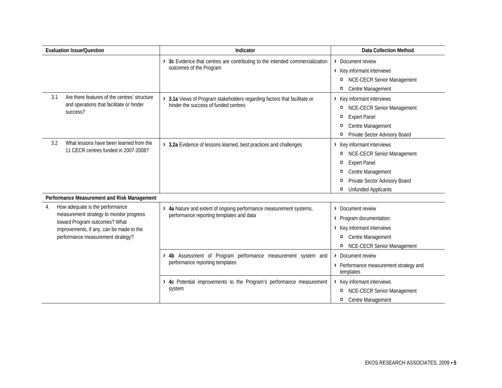| <b>Evaluation Issue/Question</b>                                                                                                                                                                    | Indicator                                                                                                       | <b>Data Collection Method</b>                                                                                                                                                                                                   |
|-----------------------------------------------------------------------------------------------------------------------------------------------------------------------------------------------------|-----------------------------------------------------------------------------------------------------------------|---------------------------------------------------------------------------------------------------------------------------------------------------------------------------------------------------------------------------------|
|                                                                                                                                                                                                     | 3c Evidence that centres are contributing to the intended commercialization<br>outcomes of the Program          | > Document review<br>> Key informant interviews<br><b>NCE-CECR Senior Management</b><br>¤<br>Centre Management<br>$\alpha$                                                                                                      |
| Are there features of the centres' structure<br>3.1<br>and operations that facilitate or hinder<br>success?                                                                                         | 3.1a Views of Program stakeholders regarding factors that facilitate or<br>hinder the success of funded centres | > Key informant interviews<br><b>NCE-CECR Senior Management</b><br>$\alpha$<br><b>Expert Panel</b><br>$\alpha$<br>Centre Management<br>¤<br>Private Sector Advisory Board<br>$\alpha$                                           |
| What lessons have been learned from the<br>3.2<br>11 CECR centres funded in 2007-2008?                                                                                                              | > 3.2a Evidence of lessons learned, best practices and challenges                                               | > Key informant interviews<br><b>NCE-CECR Senior Management</b><br>¤<br><b>Expert Panel</b><br>$\alpha$<br>Centre Management<br>$\alpha$<br>Private Sector Advisory Board<br>$\alpha$<br><b>Unfunded Applicants</b><br>$\alpha$ |
| Performance Measurement and Risk Management                                                                                                                                                         |                                                                                                                 |                                                                                                                                                                                                                                 |
| How adequate is the performance<br>4.<br>measurement strategy to monitor progress<br>toward Program outcomes? What<br>improvements, if any, can be made to the<br>performance measurement strategy? | > 4a Nature and extent of ongoing performance measurement systems,<br>performance reporting templates and data  | Document review<br>$\sum_{i=1}^{n}$<br>> Program documentation<br>> Key informant interviews<br>Centre Management<br>¤<br><b>NCE-CECR Senior Management</b><br>¤                                                                |
|                                                                                                                                                                                                     | 4b Assessment of Program performance measurement system and<br>performance reporting templates                  | Document review<br>$\left( \right)$<br>> Performance measurement strategy and<br>templates                                                                                                                                      |
|                                                                                                                                                                                                     | 4c Potential improvements to the Program's performance measurement<br>system                                    | Key informant interviews<br>≻<br>NCE-CECR Senior Management<br>¤<br>Centre Management<br>¤                                                                                                                                      |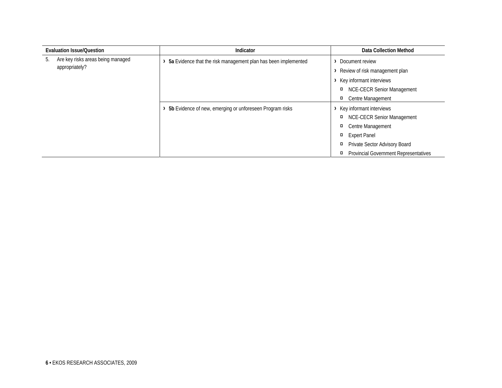|    | <b>Evaluation Issue/Question</b>                    | Indicator                                                      | Data Collection Method                            |
|----|-----------------------------------------------------|----------------------------------------------------------------|---------------------------------------------------|
| 5. | Are key risks areas being managed<br>appropriately? | 5a Evidence that the risk management plan has been implemented | Document review<br>Review of risk management plan |
|    |                                                     |                                                                | Key informant interviews                          |
|    |                                                     | NCE-CECR Senior Management<br>¤                                |                                                   |
|    |                                                     |                                                                | Centre Management<br>¤                            |
|    |                                                     | 5b Evidence of new, emerging or unforeseen Program risks       | Key informant interviews                          |
|    |                                                     |                                                                | <b>NCE-CECR Senior Management</b><br>¤            |
|    |                                                     |                                                                | Centre Management<br>¤                            |
|    |                                                     |                                                                | <b>Expert Panel</b><br>¤                          |
|    |                                                     |                                                                | Private Sector Advisory Board<br>¤                |
|    |                                                     |                                                                | <b>Provincial Government Representatives</b><br>¤ |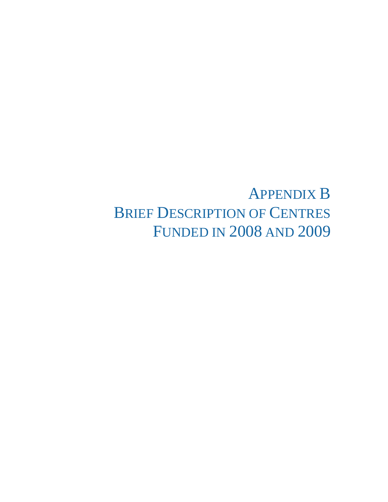APPENDIX B BRIEF DESCRIPTION OF CENTRES FUNDED IN 2008 AND 2009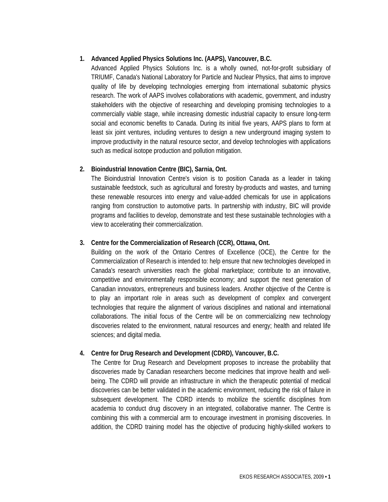## **1. Advanced Applied Physics Solutions Inc. (AAPS), Vancouver, B.C.**

Advanced Applied Physics Solutions Inc. is a wholly owned, not-for-profit subsidiary of TRIUMF, Canada's National Laboratory for Particle and Nuclear Physics, that aims to improve quality of life by developing technologies emerging from international subatomic physics research. The work of AAPS involves collaborations with academic, government, and industry stakeholders with the objective of researching and developing promising technologies to a commercially viable stage, while increasing domestic industrial capacity to ensure long-term social and economic benefits to Canada. During its initial five years, AAPS plans to form at least six joint ventures, including ventures to design a new underground imaging system to improve productivity in the natural resource sector, and develop technologies with applications such as medical isotope production and pollution mitigation.

## **2. Bioindustrial Innovation Centre (BIC), Sarnia, Ont.**

The Bioindustrial Innovation Centre's vision is to position Canada as a leader in taking sustainable feedstock, such as agricultural and forestry by-products and wastes, and turning these renewable resources into energy and value-added chemicals for use in applications ranging from construction to automotive parts. In partnership with industry, BIC will provide programs and facilities to develop, demonstrate and test these sustainable technologies with a view to accelerating their commercialization.

## **3. Centre for the Commercialization of Research (CCR), Ottawa, Ont.**

Building on the work of the Ontario Centres of Excellence (OCE), the Centre for the Commercialization of Research is intended to: help ensure that new technologies developed in Canada's research universities reach the global marketplace; contribute to an innovative, competitive and environmentally responsible economy; and support the next generation of Canadian innovators, entrepreneurs and business leaders. Another objective of the Centre is to play an important role in areas such as development of complex and convergent technologies that require the alignment of various disciplines and national and international collaborations. The initial focus of the Centre will be on commercializing new technology discoveries related to the environment, natural resources and energy; health and related life sciences; and digital media.

### **4. Centre for Drug Research and Development (CDRD), Vancouver, B.C.**

The Centre for Drug Research and Development proposes to increase the probability that discoveries made by Canadian researchers become medicines that improve health and wellbeing. The CDRD will provide an infrastructure in which the therapeutic potential of medical discoveries can be better validated in the academic environment, reducing the risk of failure in subsequent development. The CDRD intends to mobilize the scientific disciplines from academia to conduct drug discovery in an integrated, collaborative manner. The Centre is combining this with a commercial arm to encourage investment in promising discoveries. In addition, the CDRD training model has the objective of producing highly-skilled workers to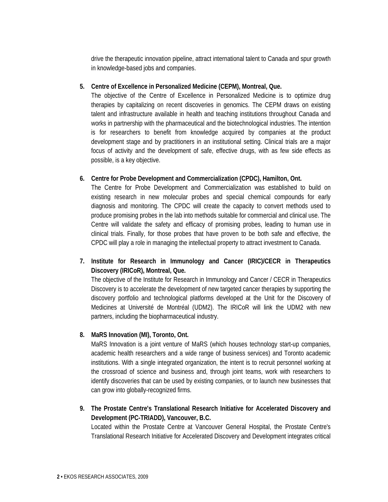drive the therapeutic innovation pipeline, attract international talent to Canada and spur growth in knowledge-based jobs and companies.

## **5. Centre of Excellence in Personalized Medicine (CEPM), Montreal, Que.**

The objective of the Centre of Excellence in Personalized Medicine is to optimize drug therapies by capitalizing on recent discoveries in genomics. The CEPM draws on existing talent and infrastructure available in health and teaching institutions throughout Canada and works in partnership with the pharmaceutical and the biotechnological industries. The intention is for researchers to benefit from knowledge acquired by companies at the product development stage and by practitioners in an institutional setting. Clinical trials are a major focus of activity and the development of safe, effective drugs, with as few side effects as possible, is a key objective.

# **6. Centre for Probe Development and Commercialization (CPDC), Hamilton, Ont.**

The Centre for Probe Development and Commercialization was established to build on existing research in new molecular probes and special chemical compounds for early diagnosis and monitoring. The CPDC will create the capacity to convert methods used to produce promising probes in the lab into methods suitable for commercial and clinical use. The Centre will validate the safety and efficacy of promising probes, leading to human use in clinical trials. Finally, for those probes that have proven to be both safe and effective, the CPDC will play a role in managing the intellectual property to attract investment to Canada.

**7. Institute for Research in Immunology and Cancer (IRIC)/CECR in Therapeutics Discovery (IRICoR), Montreal, Que.** 

The objective of the Institute for Research in Immunology and Cancer / CECR in Therapeutics Discovery is to accelerate the development of new targeted cancer therapies by supporting the discovery portfolio and technological platforms developed at the Unit for the Discovery of Medicines at Université de Montréal (UDM2). The IRICoR will link the UDM2 with new partners, including the biopharmaceutical industry.

# **8. MaRS Innovation (MI), Toronto, Ont.**

MaRS Innovation is a joint venture of MaRS (which houses technology start-up companies, academic health researchers and a wide range of business services) and Toronto academic institutions. With a single integrated organization, the intent is to recruit personnel working at the crossroad of science and business and, through joint teams, work with researchers to identify discoveries that can be used by existing companies, or to launch new businesses that can grow into globally-recognized firms.

**9. The Prostate Centre's Translational Research Initiative for Accelerated Discovery and Development (PC-TRIADD), Vancouver, B.C.** 

Located within the Prostate Centre at Vancouver General Hospital, the Prostate Centre's Translational Research Initiative for Accelerated Discovery and Development integrates critical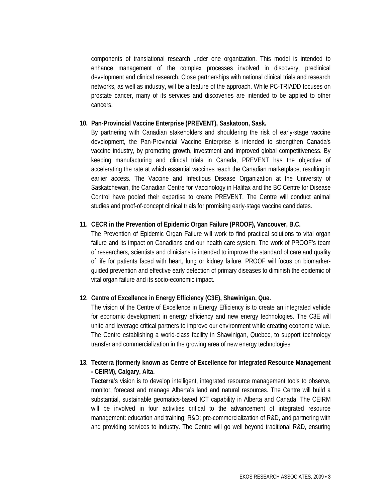components of translational research under one organization. This model is intended to enhance management of the complex processes involved in discovery, preclinical development and clinical research. Close partnerships with national clinical trials and research networks, as well as industry, will be a feature of the approach. While PC-TRIADD focuses on prostate cancer, many of its services and discoveries are intended to be applied to other cancers.

#### **10. Pan-Provincial Vaccine Enterprise (PREVENT), Saskatoon, Sask.**

By partnering with Canadian stakeholders and shouldering the risk of early-stage vaccine development, the Pan-Provincial Vaccine Enterprise is intended to strengthen Canada's vaccine industry, by promoting growth, investment and improved global competitiveness. By keeping manufacturing and clinical trials in Canada, PREVENT has the objective of accelerating the rate at which essential vaccines reach the Canadian marketplace, resulting in earlier access. The Vaccine and Infectious Disease Organization at the University of Saskatchewan, the Canadian Centre for Vaccinology in Halifax and the BC Centre for Disease Control have pooled their expertise to create PREVENT. The Centre will conduct animal studies and proof-of-concept clinical trials for promising early-stage vaccine candidates.

### **11. CECR in the Prevention of Epidemic Organ Failure (PROOF), Vancouver, B.C.**

The Prevention of Epidemic Organ Failure will work to find practical solutions to vital organ failure and its impact on Canadians and our health care system. The work of PROOF's team of researchers, scientists and clinicians is intended to improve the standard of care and quality of life for patients faced with heart, lung or kidney failure. PROOF will focus on biomarkerguided prevention and effective early detection of primary diseases to diminish the epidemic of vital organ failure and its socio-economic impact.

### **12. Centre of Excellence in Energy Efficiency (C3E), Shawinigan, Que.**

The vision of the Centre of Excellence in Energy Efficiency is to create an integrated vehicle for economic development in energy efficiency and new energy technologies. The C3E will unite and leverage critical partners to improve our environment while creating economic value. The Centre establishing a world-class facility in Shawinigan, Quebec, to support technology transfer and commercialization in the growing area of new energy technologies

# **13. Tecterra (formerly known as Centre of Excellence for Integrated Resource Management - CEIRM), Calgary, Alta.**

**Tecterra**'s vision is to develop intelligent, integrated resource management tools to observe, monitor, forecast and manage Alberta's land and natural resources. The Centre will build a substantial, sustainable geomatics-based ICT capability in Alberta and Canada. The CEIRM will be involved in four activities critical to the advancement of integrated resource management: education and training; R&D; pre-commercialization of R&D, and partnering with and providing services to industry. The Centre will go well beyond traditional R&D, ensuring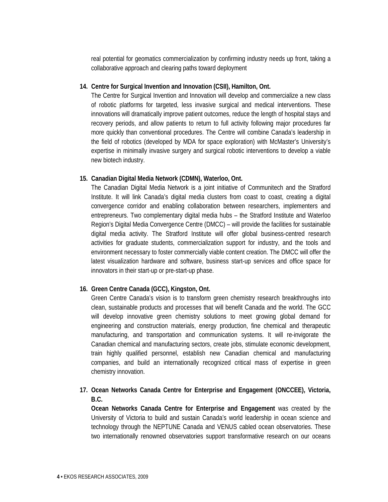real potential for geomatics commercialization by confirming industry needs up front, taking a collaborative approach and clearing paths toward deployment

### **14. Centre for Surgical Invention and Innovation (CSII), Hamilton, Ont.**

The Centre for Surgical Invention and Innovation will develop and commercialize a new class of robotic platforms for targeted, less invasive surgical and medical interventions. These innovations will dramatically improve patient outcomes, reduce the length of hospital stays and recovery periods, and allow patients to return to full activity following major procedures far more quickly than conventional procedures. The Centre will combine Canada's leadership in the field of robotics (developed by MDA for space exploration) with McMaster's University's expertise in minimally invasive surgery and surgical robotic interventions to develop a viable new biotech industry.

#### **15. Canadian Digital Media Network (CDMN), Waterloo, Ont.**

The Canadian Digital Media Network is a joint initiative of Communitech and the Stratford Institute. It will link Canada's digital media clusters from coast to coast, creating a digital convergence corridor and enabling collaboration between researchers, implementers and entrepreneurs. Two complementary digital media hubs – the Stratford Institute and Waterloo Region's Digital Media Convergence Centre (DMCC) – will provide the facilities for sustainable digital media activity. The Stratford Institute will offer global business-centred research activities for graduate students, commercialization support for industry, and the tools and environment necessary to foster commercially viable content creation. The DMCC will offer the latest visualization hardware and software, business start-up services and office space for innovators in their start-up or pre-start-up phase.

### **16. Green Centre Canada (GCC), Kingston, Ont.**

Green Centre Canada's vision is to transform green chemistry research breakthroughs into clean, sustainable products and processes that will benefit Canada and the world. The GCC will develop innovative green chemistry solutions to meet growing global demand for engineering and construction materials, energy production, fine chemical and therapeutic manufacturing, and transportation and communication systems. It will re-invigorate the Canadian chemical and manufacturing sectors, create jobs, stimulate economic development, train highly qualified personnel, establish new Canadian chemical and manufacturing companies, and build an internationally recognized critical mass of expertise in green chemistry innovation.

# **17. Ocean Networks Canada Centre for Enterprise and Engagement (ONCCEE), Victoria, B.C.**

**Ocean Networks Canada Centre for Enterprise and Engagement** was created by the University of Victoria to build and sustain Canada's world leadership in ocean science and technology through the NEPTUNE Canada and VENUS cabled ocean observatories. These two internationally renowned observatories support transformative research on our oceans